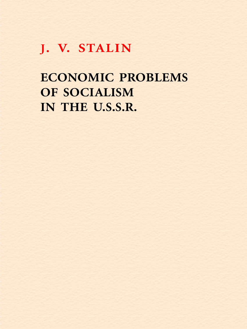# **J. V. STALIN**

# **ECONOMIC PROBLEMS OF SOCIALISM IN THE U.S.S.R.**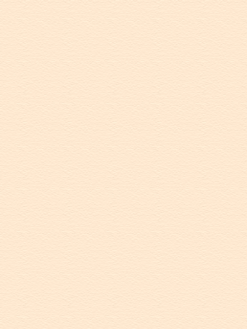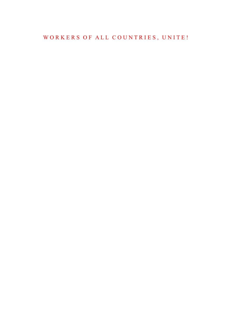#### WORKERS OF ALL COUNTRIES, UNITE!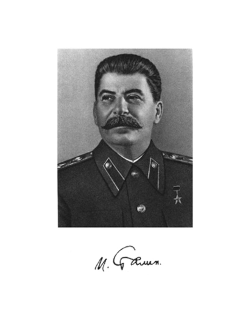

M. Games.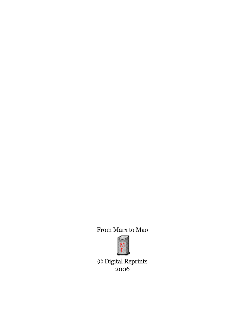### From Marx to Mao



© Digital Reprints 2006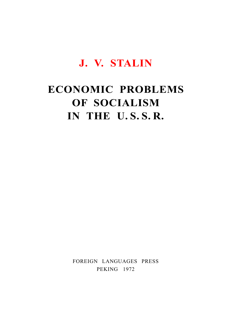### **J. V. STALIN**

## **ECONOMIC PROBLEMS OF SOCIALISM IN THE U. S. S. R.**

FOREIGN LANGUAGES PRESS PEKING 1972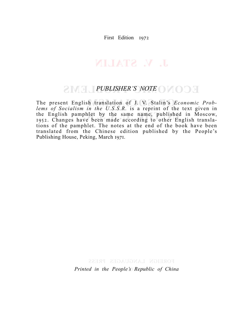First Edition 1972

#### **ENDISHER'S NOTE**

The present English translation of J. V. Stalin's *Economic Prob*the English pamphlet by the same name, published in Moscow, *lems of Socialism in the U.S.S.R.* is a reprint of the text given in 1952. Changes have been made according to other English translations of the pamphlet. The notes at the end of the book have been translated from the Chinese edition published by the People's Publishing House, Peking, March 1971.

Printed in the People's Republic of China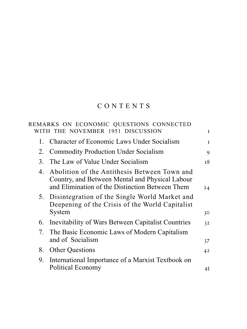### C O N T E N T S

|    | REMARKS ON ECONOMIC QUESTIONS CONNECTED                                                                                                            |              |
|----|----------------------------------------------------------------------------------------------------------------------------------------------------|--------------|
|    | WITH THE NOVEMBER 1951 DISCUSSION                                                                                                                  | $\mathbf{I}$ |
| 1. | Character of Economic Laws Under Socialism                                                                                                         | $\mathbf{I}$ |
| 2. | <b>Commodity Production Under Socialism</b>                                                                                                        | 9            |
| 3. | The Law of Value Under Socialism                                                                                                                   | т8           |
| 4. | Abolition of the Antithesis Between Town and<br>Country, and Between Mental and Physical Labour<br>and Elimination of the Distinction Between Them | 24           |
|    | 5. Disintegration of the Single World Market and<br>Deepening of the Crisis of the World Capitalist<br>System                                      | 30           |
| 6. | Inevitability of Wars Between Capitalist Countries                                                                                                 | 32           |
| 7. | The Basic Economic Laws of Modern Capitalism<br>and of Socialism                                                                                   | 37           |
| 8. | <b>Other Questions</b>                                                                                                                             | 42           |
| 9. | International Importance of a Marxist Textbook on                                                                                                  |              |
|    | Political Economy                                                                                                                                  | 45           |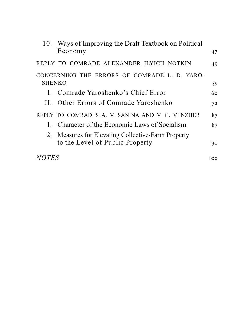|               | 10. Ways of Improving the Draft Textbook on Political<br>Economy | 47  |
|---------------|------------------------------------------------------------------|-----|
|               |                                                                  |     |
|               | REPLY TO COMRADE ALEXANDER ILYICH NOTKIN                         | 49  |
|               | CONCERNING THE ERRORS OF COMRADE L. D. YARO-                     |     |
| <b>SHENKO</b> |                                                                  | 59  |
|               | L. Comrade Yaroshenko's Chief Error                              | 60  |
|               | II. Other Errors of Comrade Yaroshenko                           | 72  |
|               | REPLY TO COMRADES A. V. SANINA AND V. G. VENZHER                 | 87  |
| $\mathbf{1}$  | Character of the Economic Laws of Socialism                      | 87  |
| 2.            | Measures for Elevating Collective-Farm Property                  |     |
|               | to the Level of Public Property                                  | 90  |
| <i>NOTES</i>  |                                                                  | 100 |
|               |                                                                  |     |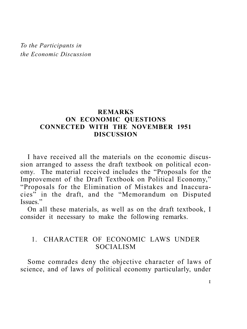<span id="page-10-0"></span>*To the Participants in the Economic Discussion*

#### **REMARKS ON ECONOMIC QUESTIONS CONNECTED WITH THE NOVEMBER 1951 DISCUSSION**

I have received all the materials on the economic discussion arranged to assess the draft textbook on political economy. The material received includes the "Proposals for the Improvement of the Draft Textbook on Political Economy," "Proposals for the Elimination of Mistakes and Inaccuracies" in the draft, and the "Memorandum on Disputed Issues."

On all these materials, as well as on the draft textbook, I consider it necessary to make the following remarks.

#### 1. CHARACTER OF ECONOMIC LAWS UNDER SOCIALISM

Some comrades deny the objective character of laws of science, and of laws of political economy particularly, under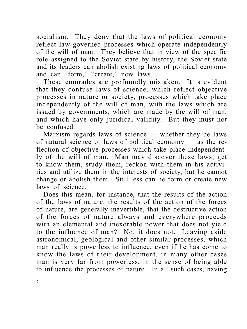socialism. They deny that the laws of political economy reflect law-governed processes which operate independently of the will of man. They believe that in view of the specific role assigned to the Soviet state by history, the Soviet state and its leaders can abolish existing laws of political economy and can "form," "create," new laws.

These comrades are profoundly mistaken. It is evident that they confuse laws of science, which reflect objective processes in nature or society, processes which take place independently of the will of man, with the laws which are issued by governments, which are made by the will of man, and which have only juridical validity. But they must not be confused.

Marxism regards laws of science — whether they be laws of natural science or laws of political economy — as the reflection of objective processes which take place independently of the will of man. Man may discover these laws, get to know them, study them, reckon with them in his activities and utilize them in the interests of society, but he cannot change or abolish them. Still less can he form or create new laws of science.

Does this mean, for instance, that the results of the action of the laws of nature, the results of the action of the forces of nature, are generally inavertible, that the destructive action of the forces of nature always and everywhere proceeds with an elemental and inexorable power that does not yield to the influence of man? No, it does not. Leaving aside astronomical, geological and other similar processes, which man really is powerless to influence, even if he has come to know the laws of their development, in many other cases man is very far from powerless, in the sense of being able to influence the processes of nature. In all such cases, having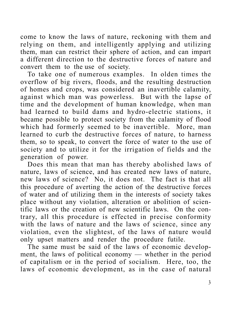come to know the laws of nature, reckoning with them and relying on them, and intelligently applying and utilizing them, man can restrict their sphere of action, and can impart a different direction to the destructive forces of nature and convert them to the use of society.

To take one of numerous examples. In olden times the overflow of big rivers, floods, and the resulting destruction of homes and crops, was considered an inavertible calamity, against which man was powerless. But with the lapse of time and the development of human knowledge, when man had learned to build dams and hydro-electric stations, it became possible to protect society from the calamity of flood which had formerly seemed to be inavertible. More, man learned to curb the destructive forces of nature, to harness them, so to speak, to convert the force of water to the use of society and to utilize it for the irrigation of fields and the generation of power.

Does this mean that man has thereby abolished laws of nature, laws of science, and has created new laws of nature, new laws of science? No, it does not. The fact is that all this procedure of averting the action of the destructive forces of water and of utilizing them in the interests of society takes place without any violation, alteration or abolition of scientific laws or the creation of new scientific laws. On the contrary, all this procedure is effected in precise conformity with the laws of nature and the laws of science, since any violation, even the slightest, of the laws of nature would only upset matters and render the procedure futile.

The same must be said of the laws of economic development, the laws of political economy — whether in the period of capitalism or in the period of socialism. Here, too, the laws of economic development, as in the case of natural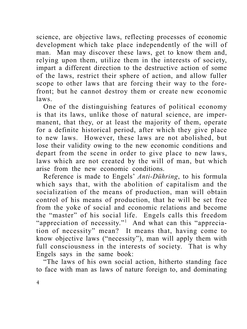science, are objective laws, reflecting processes of economic development which take place independently of the will of man. Man may discover these laws, get to know them and, relying upon them, utilize them in the interests of society, impart a different direction to the destructive action of some of the laws, restrict their sphere of action, and allow fuller scope to other laws that are forcing their way to the forefront; but he cannot destroy them or create new economic laws.

One of the distinguishing features of political economy is that its laws, unlike those of natural science, are impermanent, that they, or at least the majority of them, operate for a definite historical period, after which they give place to new laws. However, these laws are not abolished, but lose their validity owing to the new economic conditions and depart from the scene in order to give place to new laws, laws which are not created by the will of man, but which arise from the new economic conditions.

Reference is made to Engels' *Anti-Dühring*, to his formula which says that, with the abolition of capitalism and the socialization of the means of production, man will obtain control of his means of production, that he will be set free from the yoke of social and economic relations and become the "master" of his social life. Engels calls this freedom "appreciationof necessity."<sup>1</sup> And what can this "appreciation of necessity" mean? It means that, having come to know objective laws ("necessity"), man will apply them with full consciousness in the interests of society. That is why Engels says in the same book:

"The laws of his own social action, hitherto standing face to face with man as laws of nature foreign to, and dominating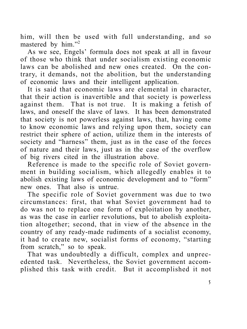him, will then be used with full understanding, and so mastered by him[."](#page-109-1)<sup>2</sup>

As we see, Engels' formula does not speak at all in favour of those who think that under socialism existing economic laws can be abolished and new ones created. On the contrary, it demands, not the abolition, but the understanding of economic laws and their intelligent application.

It is said that economic laws are elemental in character, that their action is inavertible and that society is powerless against them. That is not true. It is making a fetish of laws, and oneself the slave of laws. It has been demonstrated that society is not powerless against laws, that, having come to know economic laws and relying upon them, society can restrict their sphere of action, utilize them in the interests of society and "harness" them, just as in the case of the forces of nature and their laws, just as in the case of the overflow of big rivers cited in the illustration above.

Reference is made to the specific role of Soviet government in building socialism, which allegedly enables it to abolish existing laws of economic development and to "form" new ones. That also is untrue.

The specific role of Soviet government was due to two circumstances: first, that what Soviet government had to do was not to replace one form of exploitation by another, as was the case in earlier revolutions, but to abolish exploitation altogether; second, that in view of the absence in the country of any ready-made rudiments of a socialist economy, it had to create new, socialist forms of economy, "starting from scratch," so to speak.

That was undoubtedly a difficult, complex and unprecedented task. Nevertheless, the Soviet government accomplished this task with credit. But it accomplished it not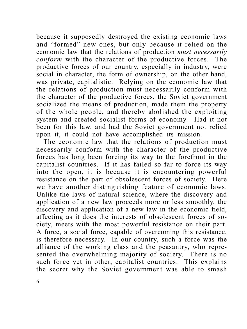because it supposedly destroyed the existing economic laws and "formed" new ones, but only because it relied on the economic law that the relations of production *must necessarily conform* with the character of the productive forces. The productive forces of our country, especially in industry, were social in character, the form of ownership, on the other hand, was private, capitalistic. Relying on the economic law that the relations of production must necessarily conform with the character of the productive forces, the Soviet government socialized the means of production, made them the property of the whole people, and thereby abolished the exploiting system and created socialist forms of economy. Had it not been for this law, and had the Soviet government not relied upon it, it could not have accomplished its mission.

The economic law that the relations of production must necessarily conform with the character of the productive forces has long been forcing its way to the forefront in the capitalist countries. If it has failed so far to force its way into the open, it is because it is encountering powerful resistance on the part of obsolescent forces of society. Here we have another distinguishing feature of economic laws. Unlike the laws of natural science, where the discovery and application of a new law proceeds more or less smoothly, the discovery and application of a new law in the economic field, affecting as it does the interests of obsolescent forces of society, meets with the most powerful resistance on their part. A force, a social force, capable of overcoming this resistance, is therefore necessary. In our country, such a force was the alliance of the working class and the peasantry, who represented the overwhelming majority of society. There is no such force yet in other, capitalist countries. This explains the secret why the Soviet government was able to smash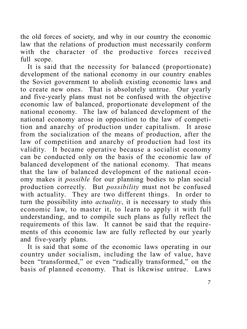the old forces of society, and why in our country the economic law that the relations of production must necessarily conform with the character of the productive forces received full scope.

It is said that the necessity for balanced (proportionate) development of the national economy in our country enables the Soviet government to abolish existing economic laws and to create new ones. That is absolutely untrue. Our yearly and five-yearly plans must not be confused with the objective economic law of balanced, proportionate development of the national economy. The law of balanced development of the national economy arose in opposition to the law of competition and anarchy of production under capitalism. It arose from the socialization of the means of production, after the law of competition and anarchy of production had lost its validity. It became operative because a socialist economy can be conducted only on the basis of the economic law of balanced development of the national economy. That means that the law of balanced development of the national economy makes it *possible* for our planning bodies to plan social production correctly. But *possibility* must not be confused with actuality. They are two different things. In order to turn the possibility into *actuality*, it is necessary to study this economic law, to master it, to learn to apply it with full understanding, and to compile such plans as fully reflect the requirements of this law. It cannot be said that the requirements of this economic law are fully reflected by our yearly and five-yearly plans.

It is said that some of the economic laws operating in our country under socialism, including the law of value, have been "transformed," or even "radically transformed," on the basis of planned economy. That is likewise untrue. Laws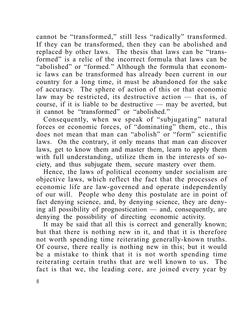cannot be "transformed," still less "radically" transformed. If they can be transformed, then they can be abolished and replaced by other laws. The thesis that laws can be "transformed" is a relic of the incorrect formula that laws can be "abolished" or "formed." Although the formula that economic laws can be transformed has already been current in our country for a long time, it must be abandoned for the sake of accuracy. The sphere of action of this or that economic law may be restricted, its destructive action — that is, of course, if it is liable to be destructive — may be averted, but it cannot be "transformed" or "abolished."

Consequently, when we speak of "subjugating" natural forces or economic forces, of "dominating" them, etc., this does not mean that man can "abolish" or "form" scientific laws. On the contrary, it only means that man can discover laws, get to know them and master them, learn to apply them with full understanding, utilize them in the interests of society, and thus subjugate them, secure mastery over them.

Hence, the laws of political economy under socialism are objective laws, which reflect the fact that the processes of economic life are law-governed and operate independently of our will. People who deny this postulate are in point of fact denying science, and, by denying science, they are denying all possibility of prognostication — and, consequently, are denying the possibility of directing economic activity.

It may be said that all this is correct and generally known; but that there is nothing new in it, and that it is therefore not worth spending time reiterating generally-known truths. Of course, there really is nothing new in this; but it would be a mistake to think that it is not worth spending time reiterating certain truths that are well known to us. The fact is that we, the leading core, are joined every year by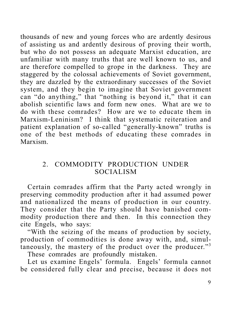<span id="page-18-0"></span>thousands of new and young forces who are ardently desirous of assisting us and ardently desirous of proving their worth, but who do not possess an adequate Marxist education, are unfamiliar with many truths that are well known to us, and are therefore compelled to grope in the darkness. They are staggered by the colossal achievements of Soviet government, they are dazzled by the extraordinary successes of the Soviet system, and they begin to imagine that Soviet government can "do anything," that "nothing is beyond it," that it can abolish scientific laws and form new ones. What are we to do with these comrades? How are we to educate them in Marxism-Leninism? I think that systematic reiteration and patient explanation of so-called "generally-known" truths is one of the best methods of educating these comrades in Marxism.

#### 2. COMMODITY PRODUCTION UNDER SOCIALISM

Certain comrades affirm that the Party acted wrongly in preserving commodity production after it had assumed power and nationalized the means of production in our country. They consider that the Party should have banished commodity production there and then. In this connection they cite Engels, who says:

"With the seizing of the means of production by society, production of commodities is done away with, and, simul-taneously, the mastery of the product over the producer.["](#page-109-1)<sup>3</sup>

These comrades are profoundly mistaken.

Let us examine Engels' formula. Engels' formula cannot be considered fully clear and precise, because it does not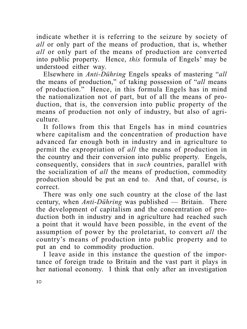indicate whether it is referring to the seizure by society of *all* or only part of the means of production, that is, whether *all* or only part of the means of production are converted into public property. Hence, *this* formula of Engels' may be understood either way.

Elsewhere in *Anti-Dühring* Engels speaks of mastering "*all* the means of production," of taking possession of "*all* means of production." Hence, in this formula Engels has in mind the nationalization not of part, but of all the means of production, that is, the conversion into public property of the means of production not only of industry, but also of agriculture.

It follows from this that Engels has in mind countries where capitalism and the concentration of production have advanced far enough both in industry and in agriculture to permit the expropriation of *all* the means of production in the country and their conversion into public property. Engels, consequently, considers that in *such* countries, parallel with the socialization of *all* the means of production, commodity production should be put an end to. And that, of course, is correct.

There was only one such country at the close of the last century, when *Anti-Dühring* was published — Britain. There the development of capitalism and the concentration of production both in industry and in agriculture had reached such a point that it would have been possible, in the event of the assumption of power by the proletariat, to convert *all* the country's means of production into public property and to put an end to commodity production.

I leave aside in this instance the question of the importance of foreign trade to Britain and the vast part it plays in her national economy. I think that only after an investigation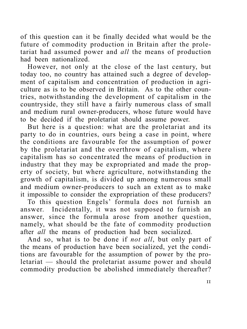of this question can it be finally decided what would be the future of commodity production in Britain after the proletariat had assumed power and *all* the means of production had been nationalized.

However, not only at the close of the last century, but today too, no country has attained such a degree of development of capitalism and concentration of production in agriculture as is to be observed in Britain. As to the other countries, notwithstanding the development of capitalism in the countryside, they still have a fairly numerous class of small and medium rural owner-producers, whose future would have to be decided if the proletariat should assume power.

But here is a question: what are the proletariat and its party to do in countries, ours being a case in point, where the conditions are favourable for the assumption of power by the proletariat and the overthrow of capitalism, where capitalism has so concentrated the means of production in industry that they may be expropriated and made the property of society, but where agriculture, notwithstanding the growth of capitalism, is divided up among numerous small and medium owner-producers to such an extent as to make it impossible to consider the expropriation of these producers?

To this question Engels' formula does not furnish an answer. Incidentally, it was not supposed to furnish an answer, since the formula arose from another question, namely, what should be the fate of commodity production after *all* the means of production had been socialized.

And so, what is to be done if *not all*, but only part of the means of production have been socialized, yet the conditions are favourable for the assumption of power by the proletariat — should the proletariat assume power and should commodity production be abolished immediately thereafter?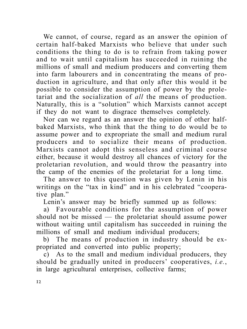We cannot, of course, regard as an answer the opinion of certain half-baked Marxists who believe that under such conditions the thing to do is to refrain from taking power and to wait until capitalism has succeeded in ruining the millions of small and medium producers and converting them into farm labourers and in concentrating the means of production in agriculture, and that only after this would it be possible to consider the assumption of power by the proletariat and the socialization of *all* the means of production. Naturally, this is a "solution" which Marxists cannot accept if they do not want to disgrace themselves completely.

Nor can we regard as an answer the opinion of other halfbaked Marxists, who think that the thing to do would be to assume power and to expropriate the small and medium rural producers and to socialize their means of production. Marxists cannot adopt this senseless and criminal course either, because it would destroy all chances of victory for the proletarian revolution, and would throw the peasantry into the camp of the enemies of the proletariat for a long time.

The answer to this question was given by Lenin in his writings on the "tax in kind" and in his celebrated "cooperative plan."

Lenin's answer may be briefly summed up as follows:

a) Favourable conditions for the assumption of power should not be missed — the proletariat should assume power without waiting until capitalism has succeeded in ruining the millions of small and medium individual producers;

b) The means of production in industry should be expropriated and converted into public property;

c) As to the small and medium individual producers, they should be gradually united in producers' cooperatives, *i.e.*, in large agricultural enterprises, collective farms;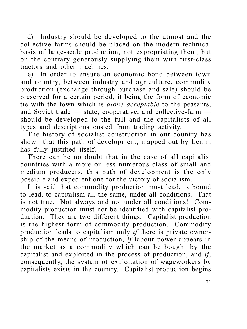d) Industry should be developed to the utmost and the collective farms should be placed on the modern technical basis of large-scale production, not expropriating them, but on the contrary generously supplying them with first-class tractors and other machines;

e) In order to ensure an economic bond between town and country, between industry and agriculture, commodity production (exchange through purchase and sale) should be preserved for a certain period, it being the form of economic tie with the town which is *alone acceptable* to the peasants, and Soviet trade — state, cooperative, and collective-farm should be developed to the full and the capitalists of all types and descriptions ousted from trading activity.

The history of socialist construction in our country has shown that this path of development, mapped out by Lenin, has fully justified itself.

There can be no doubt that in the case of all capitalist countries with a more or less numerous class of small and medium producers, this path of development is the only possible and expedient one for the victory of socialism.

It is said that commodity production must lead, is bound to lead, to capitalism all the same, under all conditions. That is not true. Not always and not under all conditions! Commodity production must not be identified with capitalist production. They are two different things. Capitalist production is the highest form of commodity production. Commodity production leads to capitalism only *if* there is private ownership of the means of production, *if* labour power appears in the market as a commodity which can be bought by the capitalist and exploited in the process of production, and *if*, consequently, the system of exploitation of wageworkers by capitalists exists in the country. Capitalist production begins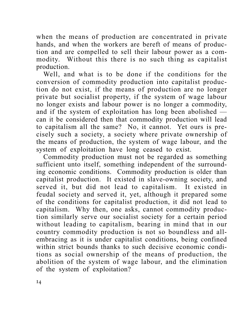when the means of production are concentrated in private hands, and when the workers are bereft of means of production and are compelled to sell their labour power as a commodity. Without this there is no such thing as capitalist production.

Well, and what is to be done if the conditions for the conversion of commodity production into capitalist production do not exist, if the means of production are no longer private but socialist property, if the system of wage labour no longer exists and labour power is no longer a commodity, and if the system of exploitation has long been abolished can it be considered then that commodity production will lead to capitalism all the same? No, it cannot. Yet ours is precisely such a society, a society where private ownership of the means of production, the system of wage labour, and the system of exploitation have long ceased to exist.

Commodity production must not be regarded as something sufficient unto itself, something independent of the surrounding economic conditions. Commodity production is older than capitalist production. It existed in slave-owning society, and served it, but did not lead to capitalism. It existed in feudal society and served it, yet, although it prepared some of the conditions for capitalist production, it did not lead to capitalism. Why then, one asks, cannot commodity production similarly serve our socialist society for a certain period without leading to capitalism, bearing in mind that in our country commodity production is not so boundless and allembracing as it is under capitalist conditions, being confined within strict bounds thanks to such decisive economic conditions as social ownership of the means of production, the abolition of the system of wage labour, and the elimination of the system of exploitation?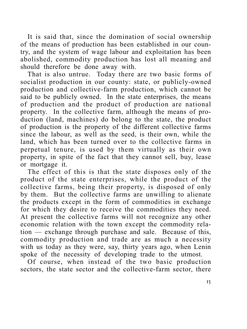It is said that, since the domination of social ownership of the means of production has been established in our country, and the system of wage labour and exploitation has been abolished, commodity production has lost all meaning and should therefore be done away with.

That is also untrue. Today there are two basic forms of socialist production in our county: state, or publicly-owned production and collective-farm production, which cannot be said to be publicly owned. In the state enterprises, the means of production and the product of production are national property. In the collective farm, although the means of production (land, machines) do belong to the state, the product of production is the property of the different collective farms since the labour, as well as the seed, is their own, while the land, which has been turned over to the collective farms in perpetual tenure, is used by them virtually as their own property, in spite of the fact that they cannot sell, buy, lease or mortgage it.

The effect of this is that the state disposes only of the product of the state enterprises, while the product of the collective farms, being their property, is disposed of only by them. But the collective farms are unwilling to alienate the products except in the form of commodities in exchange for which they desire to receive the commodities they need. At present the collective farms will not recognize any other economic relation with the town except the commodity relation — exchange through purchase and sale. Because of this, commodity production and trade are as much a necessity with us today as they were, say, thirty years ago, when Lenin spoke of the necessity of developing trade to the utmost.

Of course, when instead of the two basic production sectors, the state sector and the collective-farm sector, there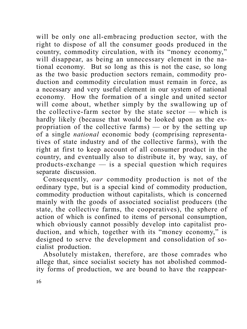will be only one all-embracing production sector, with the right to dispose of all the consumer goods produced in the country, commodity circulation, with its "money economy," will disappear, as being an unnecessary element in the national economy. But so long as this is not the case, so long as the two basic production sectors remain, commodity production and commodity circulation must remain in force, as a necessary and very useful element in our system of national economy. How the formation of a single and united sector will come about, whether simply by the swallowing up of the collective-farm sector by the state sector  $-$  which is hardly likely (because that would be looked upon as the expropriation of the collective farms)  $-$  or by the setting up of a single *national* economic body (comprising representatives of state industry and of the collective farms), with the right at first to keep account of all consumer product in the country, and eventually also to distribute it, by way, say, of products-exchange — is a special question which requires separate discussion.

Consequently, *our* commodity production is not of the ordinary type, but is a special kind of commodity production, commodity production without capitalists, which is concerned mainly with the goods of associated socialist producers (the state, the collective farms, the cooperatives), the sphere of action of which is confined to items of personal consumption, which obviously cannot possibly develop into capitalist production, and which, together with its "money economy," is designed to serve the development and consolidation of socialist production.

Absolutely mistaken, therefore, are those comrades who allege that, since socialist society has not abolished commodity forms of production, we are bound to have the reappear-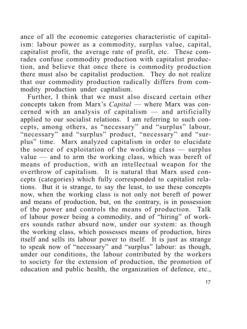ance of all the economic categories characteristic of capitalism: labour power as a commodity, surplus value, capital, capitalist profit, the average rate of profit, etc. These comrades confuse commodity production with capitalist production, and believe that once there is commodity production there must also be capitalist production. They do not realize that our commodity production radically differs from commodity production under capitalism.

Further, I think that we must also discard certain other concepts taken from Marx's *Capital* — where Marx was concerned with an analysis of capitalism — and artificially applied to our socialist relations. I am referring to such concepts, among others, as "necessary" and "surplus" labour, "necessary" and "surplus" product, "necessary" and "surplus" time. Marx analyzed capitalism in order to elucidate the source of exploitation of the working class — surplus value — and to arm the working class, which was bereft of means of production, with an intellectual weapon for the overthrow of capitalism. It is natural that Marx used concepts (categories) which fully corresponded to capitalist relations. But it is strange, to say the least, to use these concepts now, when the working class is not only not bereft of power and means of production, but, on the contrary, is in possession of the power and controls the means of production. Talk of labour power being a commodity, and of "hiring" of workers sounds rather absurd now, under our system: as though the working class, which possesses means of production, hires itself and sells its labour power to itself. It is just as strange to speak now of "necessary" and "surplus" labour: as though, under our conditions, the labour contributed by the workers to society for the extension of production, the promotion of education and public health, the organization of defence, etc.,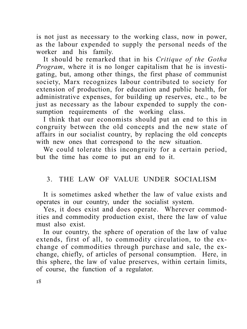<span id="page-27-0"></span>is not just as necessary to the working class, now in power, as the labour expended to supply the personal needs of the worker and his family.

It should be remarked that in his *Critique of the Gotha Program*, where it is no longer capitalism that he is investigating, but, among other things, the first phase of communist society, Marx recognizes labour contributed to society for extension of production, for education and public health, for administrative expenses, for building up reserves, etc., to be just as necessary as the labour expended to supply the consumption requirements of the working class.

I think that our economists should put an end to this in congruity between the old concepts and the new state of affairs in our socialist country, by replacing the old concepts with new ones that correspond to the new situation.

We could tolerate this incongruity for a certain period, but the time has come to put an end to it.

#### 3. THE LAW OF VALUE UNDER SOCIALISM

It is sometimes asked whether the law of value exists and operates in our country, under the socialist system.

Yes, it does exist and does operate. Wherever commodities and commodity production exist, there the law of value must also exist.

In our country, the sphere of operation of the law of value extends, first of all, to commodity circulation, to the exchange of commodities through purchase and sale, the exchange, chiefly, of articles of personal consumption. Here, in this sphere, the law of value preserves, within certain limits, of course, the function of a regulator.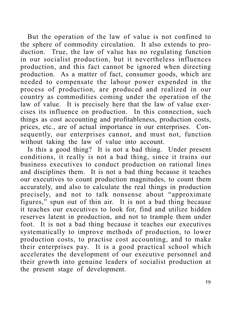But the operation of the law of value is not confined to the sphere of commodity circulation. It also extends to production. True, the law of value has no regulating function in our socialist production, but it nevertheless influences production, and this fact cannot be ignored when directing production. As a matter of fact, consumer goods, which are needed to compensate the labour power expended in the process of production, are produced and realized in our country as commodities coming under the operation of the law of value. It is precisely here that the law of value exercises its influence on production. In this connection, such things as cost accounting and profitableness, production costs, prices, etc., are of actual importance in our enterprises. Consequently, our enterprises cannot, and must not, function without taking the law of value into account.

Is this a good thing? It is not a bad thing. Under present conditions, it really is not a bad thing, since it trains our business executives to conduct production on rational lines and disciplines them. It is not a bad thing because it teaches our executives to count production magnitudes, to count them accurately, and also to calculate the real things in production precisely, and not to talk nonsense about "approximate figures," spun out of thin air. It is not a bad thing because it teaches our executives to look for, find and utilize hidden reserves latent in production, and not to trample them under foot. It is not a bad thing because it teaches our executives systematically to improve methods of production, to lower production costs, to practise cost accounting, and to make their enterprises pay. It is a good practical school which accelerates the development of our executive personnel and their growth into genuine leaders of socialist production at the present stage of development.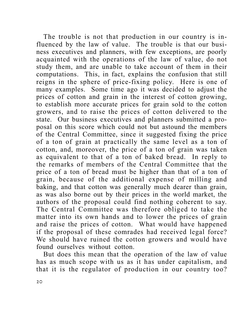The trouble is not that production in our country is influenced by the law of value. The trouble is that our business executives and planners, with few exceptions, are poorly acquainted with the operations of the law of value, do not study them, and are unable to take account of them in their computations. This, in fact, explains the confusion that still reigns in the sphere of price-fixing policy. Here is one of many examples. Some time ago it was decided to adjust the prices of cotton and grain in the interest of cotton growing, to establish more accurate prices for grain sold to the cotton growers, and to raise the prices of cotton delivered to the state. Our business executives and planners submitted a proposal on this score which could not but astound the members of the Central Committee, since it suggested fixing the price of a ton of grain at practically the same level as a ton of cotton, and, moreover, the price of a ton of grain was taken as equivalent to that of a ton of baked bread. In reply to the remarks of members of the Central Committee that the price of a ton of bread must be higher than that of a ton of grain, because of the additional expense of milling and baking, and that cotton was generally much dearer than grain, as was also borne out by their prices in the world market, the authors of the proposal could find nothing coherent to say. The Central Committee was therefore obliged to take the matter into its own hands and to lower the prices of grain and raise the prices of cotton. What would have happened if the proposal of these comrades had received legal force? We should have ruined the cotton growers and would have found ourselves without cotton.

But does this mean that the operation of the law of value has as much scope with us as it has under capitalism, and that it is the regulator of production in our country too?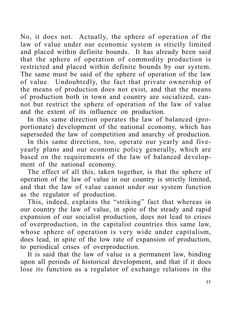No, it does not. Actually, the sphere of operation of the law of value under our economic system is strictly limited and placed within definite bounds. It has already been said that the sphere of operation of commodity production is restricted and placed within definite bounds by our system. The same must be said of the sphere of operation of the law of value. Undoubtedly, the fact that private ownership of the means of production does not exist, and that the means of production both in town and country are socialized, cannot but restrict the sphere of operation of the law of value and the extent of its influence on production.

In this same direction operates the law of balanced (proportionate) development of the national economy, which has superseded the law of competition and anarchy of production.

In this same direction, too, operate our yearly and fiveyearly plans and our economic policy generally, which are based on the requirements of the law of balanced development of the national economy.

The effect of all this, taken together, is that the sphere of operation of the law of value in our country is strictly limited, and that the law of value cannot under our system function as the regulator of production.

This, indeed, explains the "striking" fact that whereas in our country the law of value, in spite of the steady and rapid expansion of our socialist production, does not lead to crises of overproduction, in the capitalist countries this same law, whose sphere of operation is very wide under capitalism, does lead, in spite of the low rate of expansion of production, to periodical crises of overproduction.

It is said that the law of value is a permanent law, binding upon all periods of historical development, and that if it does lose its function as a regulator of exchange relations in the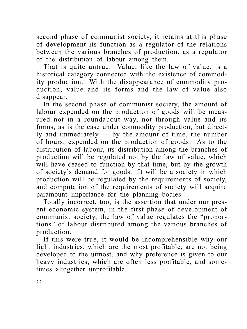second phase of communist society, it retains at this phase of development its function as a regulator of the relations between the various branches of production, as a regulator of the distribution of labour among them.

That is quite untrue. Value, like the law of value, is a historical category connected with the existence of commodity production. With the disappearance of commodity production, value and its forms and the law of value also disappear.

In the second phase of communist society, the amount of labour expended on the production of goods will be measured not in a roundabout way, not through value and its forms, as is the case under commodity production, but directly and immediately — by the amount of time, the number of hours, expended on the production of goods. As to the distribution of labour, its distribution among the branches of production will be regulated not by the law of value, which will have ceased to function by that time, but by the growth of society's demand for goods. It will be a society in which production will be regulated by the requirements of society, and computation of the requirements of society will acquire paramount importance for the planning bodies.

Totally incorrect, too, is the assertion that under our present economic system, in the first phase of development of communist society, the law of value regulates the "proportions" of labour distributed among the various branches of production.

If this were true, it would be incomprehensible why our light industries, which are the most profitable, are not being developed to the utmost, and why preference is given to our heavy industries, which are often less profitable, and sometimes altogether unprofitable.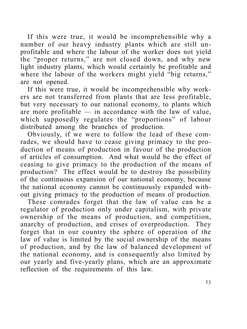If this were true, it would be incomprehensible why a number of our heavy industry plants which are still unprofitable and where the labour of the worker does not yield the "proper returns," are not closed down, and why new light industry plants, which would certainly be profitable and where the labour of the workers might yield "big returns." are not opened.

If this were true, it would be incomprehensible why workers are not transferred from plants that are less profitable, but very necessary to our national economy, to plants which are more profitable  $-$  in accordance with the law of value. which supposedly regulates the "proportions" of labour distributed among the branches of production.

Obviously, if we were to follow the lead of these comrades, we should have to cease giving primacy to the production of means of production in favour of the production of articles of consumption. And what would be the effect of ceasing to give primacy to the production of the means of production? The effect would be to destroy the possibility of the continuous expansion of our national economy, because the national economy cannot be continuously expanded without giving primacy to the production of means of production.

These comrades forget that the law of value can be a regulator of production only under capitalism, with private ownership of the means of production, and competition, anarchy of production, and crises of overproduction. They forget that in our country the sphere of operation of the law of value is limited by the social ownership of the means of production, and by the law of balanced development of the national economy, and is consequently also limited by our yearly and five-yearly plans, which are an approximate reflection of the requirements of this law.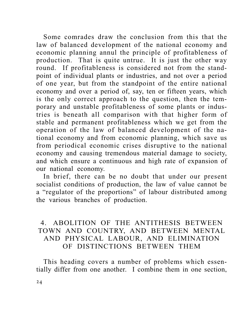<span id="page-33-0"></span>Some comrades draw the conclusion from this that the law of balanced development of the national economy and economic planning annul the principle of profitableness of production. That is quite untrue. It is just the other way round. If profitableness is considered not from the standpoint of individual plants or industries, and not over a period of one year, but from the standpoint of the entire national economy and over a period of, say, ten or fifteen years, which is the only correct approach to the question, then the temporary and unstable profitableness of some plants or industries is beneath all comparison with that higher form of stable and permanent profitableness which we get from the operation of the law of balanced development of the national economy and from economic planning, which save us from periodical economic crises disruptive to the national economy and causing tremendous material damage to society, and which ensure a continuous and high rate of expansion of our national economy.

In brief, there can be no doubt that under our present socialist conditions of production, the law of value cannot be a "regulator of the proportions" of labour distributed among the various branches of production.

#### 4. ABOLITION OF THE ANTITHESIS BETWEEN TOWN AND COUNTRY, AND BETWEEN MENTAL AND PHYSICAL LABOUR, AND ELIMINATION OF DISTINCTIONS BETWEEN THEM

This heading covers a number of problems which essentially differ from one another. I combine them in one section,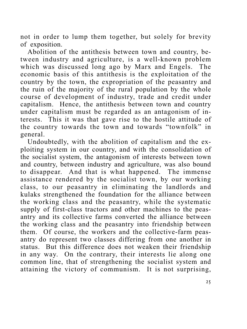not in order to lump them together, but solely for brevity of exposition.

Abolition of the antithesis between town and country, between industry and agriculture, is a well-known problem which was discussed long ago by Marx and Engels. The economic basis of this antithesis is the exploitation of the country by the town, the expropriation of the peasantry and the ruin of the majority of the rural population by the whole course of development of industry, trade and credit under capitalism. Hence, the antithesis between town and country under capitalism must be regarded as an antagonism of interests. This it was that gave rise to the hostile attitude of the country towards the town and towards "townfolk" in general.

Undoubtedly, with the abolition of capitalism and the exploiting system in our country, and with the consolidation of the socialist system, the antagonism of interests between town and country, between industry and agriculture, was also bound to disappear. And that is what happened. The immense assistance rendered by the socialist town, by our working class, to our peasantry in eliminating the landlords and kulaks strengthened the foundation for the alliance between the working class and the peasantry, while the systematic supply of first-class tractors and other machines to the peasantry and its collective farms converted the alliance between the working class and the peasantry into friendship between them. Of course, the workers and the collective-farm peasantry do represent two classes differing from one another in status. But this difference does not weaken their friendship in any way. On the contrary, their interests lie along one common line, that of strengthening the socialist system and attaining the victory of communism. It is not surprising,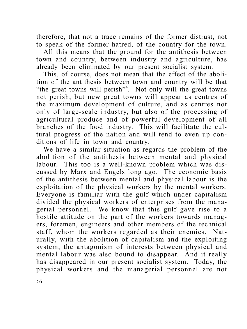therefore, that not a trace remains of the former distrust, not to speak of the former hatred, of the country for the town.

All this means that the ground for the antithesis between town and country, between industry and agriculture, has already been eliminated by our present socialist system.

This, of course, does not mean that the effect of the abolition of the antithesis between town and country will be that "the great towns will perish"<sup>4</sup>[.](#page-109-1) Not only will the great towns not perish, but new great towns will appear as centres of the maximum development of culture, and as centres not only of large-scale industry, but also of the processing of agricultural produce and of powerful development of all branches of the food industry. This will facilitate the cultural progress of the nation and will tend to even up conditions of life in town and country.

We have a similar situation as regards the problem of the abolition of the antithesis between mental and physical labour. This too is a well-known problem which was discussed by Marx and Engels long ago. The economic basis of the antithesis between mental and physical labour is the exploitation of the physical workers by the mental workers. Everyone is familiar with the gulf which under capitalism divided the physical workers of enterprises from the managerial personnel. We know that this gulf gave rise to a hostile attitude on the part of the workers towards managers, foremen, engineers and other members of the technical staff, whom the workers regarded as their enemies. Naturally, with the abolition of capitalism and the exploiting system, the antagonism of interests between physical and mental labour was also bound to disappear. And it really has disappeared in our present socialist system. Today, the physical workers and the managerial personnel are not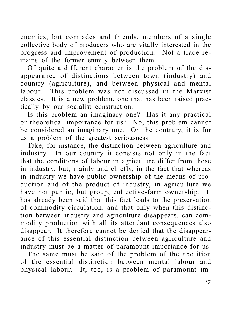enemies, but comrades and friends, members of a single collective body of producers who are vitally interested in the progress and improvement of production. Not a trace remains of the former enmity between them.

Of quite a different character is the problem of the disappearance of distinctions between town (industry) and country (agriculture), and between physical and mental labour. This problem was not discussed in the Marxist classics. It is a new problem, one that has been raised practically by our socialist construction.

Is this problem an imaginary one? Has it any practical or theoretical importance for us? No, this problem cannot be considered an imaginary one. On the contrary, it is for us a problem of the greatest seriousness.

Take, for instance, the distinction between agriculture and industry. In our country it consists not only in the fact that the conditions of labour in agriculture differ from those in industry, but, mainly and chiefly, in the fact that whereas in industry we have public ownership of the means of production and of the product of industry, in agriculture we have not public, but group, collective-farm ownership. It has already been said that this fact leads to the preservation of commodity circulation, and that only when this distinction between industry and agriculture disappears, can commodity production with all its attendant consequences also disappear. It therefore cannot be denied that the disappearance of this essential distinction between agriculture and industry must be a matter of paramount importance for us.

The same must be said of the problem of the abolition of the essential distinction between mental labour and physical labour. It, too, is a problem of paramount im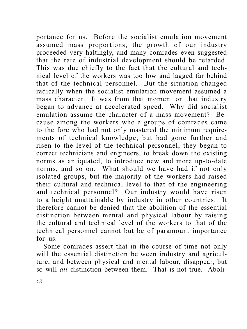portance for us. Before the socialist emulation movement assumed mass proportions, the growth of our industry proceeded very haltingly, and many comrades even suggested that the rate of industrial development should be retarded. This was due chiefly to the fact that the cultural and technical level of the workers was too low and lagged far behind that of the technical personnel. But the situation changed radically when the socialist emulation movement assumed a mass character. It was from that moment on that industry began to advance at accelerated speed. Why did socialist emulation assume the character of a mass movement? Because among the workers whole groups of comrades came to the fore who had not only mastered the minimum requirements of technical knowledge, but had gone further and risen to the level of the technical personnel; they began to correct technicians and engineers, to break down the existing norms as antiquated, to introduce new and more up-to-date norms, and so on. What should we have had if not only isolated groups, but the majority of the workers had raised their cultural and technical level to that of the engineering and technical personnel? Our industry would have risen to a height unattainable by industry in other countries. It therefore cannot be denied that the abolition of the essential distinction between mental and physical labour by raising the cultural and technical level of the workers to that of the technical personnel cannot but be of paramount importance for us.

Some comrades assert that in the course of time not only will the essential distinction between industry and agriculture, and between physical and mental labour, disappear, but so will *all* distinction between them. That is not true. Aboli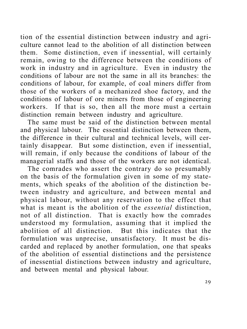tion of the essential distinction between industry and agriculture cannot lead to the abolition of all distinction between them. Some distinction, even if inessential, will certainly remain, owing to the difference between the conditions of work in industry and in agriculture. Even in industry the conditions of labour are not the same in all its branches: the conditions of labour, for example, of coal miners differ from those of the workers of a mechanized shoe factory, and the conditions of labour of ore miners from those of engineering workers. If that is so, then all the more must a certain distinction remain between industry and agriculture.

The same must be said of the distinction between mental and physical labour. The essential distinction between them, the difference in their cultural and technical levels, will certainly disappear. But some distinction, even if inessential, will remain, if only because the conditions of labour of the managerial staffs and those of the workers are not identical.

The comrades who assert the contrary do so presumably on the basis of the formulation given in some of my statements, which speaks of the abolition of the distinction between industry and agriculture, and between mental and physical labour, without any reservation to the effect that what is meant is the abolition of the *essential* distinction, not of all distinction. That is exactly how the comrades understood my formulation, assuming that it implied the abolition of all distinction. But this indicates that the formulation was unprecise, unsatisfactory. It must be discarded and replaced by another formulation, one that speaks of the abolition of essential distinctions and the persistence of inessential distinctions between industry and agriculture, and between mental and physical labour.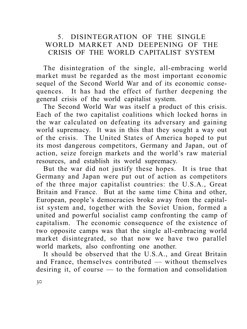# 5. DISINTEGRATION OF THE SINGLE WORLD MARKET AND DEEPENING OF THE CRISIS OF THE WORLD CAPITALIST SYSTEM

The disintegration of the single, all-embracing world market must be regarded as the most important economic sequel of the Second World War and of its economic consequences. It has had the effect of further deepening the general crisis of the world capitalist system.

The Second World War was itself a product of this crisis. Each of the two capitalist coalitions which locked horns in the war calculated on defeating its adversary and gaining world supremacy. It was in this that they sought a way out of the crisis. The United States of America hoped to put its most dangerous competitors, Germany and Japan, out of action, seize foreign markets and the world's raw material resources, and establish its world supremacy.

But the war did not justify these hopes. It is true that Germany and Japan were put out of action as competitors of the three major capitalist countries: the U.S.A., Great Britain and France. But at the same time China and other, European, people's democracies broke away from the capitalist system and, together with the Soviet Union, formed a united and powerful socialist camp confronting the camp of capitalism. The economic consequence of the existence of two opposite camps was that the single all-embracing world market disintegrated, so that now we have two parallel world markets, also confronting one another.

It should be observed that the U.S.A., and Great Britain and France, themselves contributed — without themselves desiring it, of course — to the formation and consolidation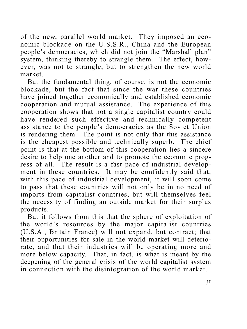of the new, parallel world market. They imposed an economic blockade on the U.S.S.R., China and the European people's democracies, which did not join the "Marshall plan" system, thinking thereby to strangle them. The effect, however, was not to strangle, but to strengthen the new world market.

But the fundamental thing, of course, is not the economic blockade, but the fact that since the war these countries have joined together economically and established economic cooperation and mutual assistance. The experience of this cooperation shows that not a single capitalist country could have rendered such effective and technically competent assistance to the people's democracies as the Soviet Union is rendering them. The point is not only that this assistance is the cheapest possible and technically superb. The chief point is that at the bottom of this cooperation lies a sincere desire to help one another and to promote the economic progress of all. The result is a fast pace of industrial development in these countries. It may be confidently said that, with this pace of industrial development, it will soon come to pass that these countries will not only be in no need of imports from capitalist countries, but will themselves feel the necessity of finding an outside market for their surplus products.

But it follows from this that the sphere of exploitation of the world's resources by the major capitalist countries (U.S.A., Britain France) will not expand, but contract; that their opportunities for sale in the world market will deteriorate, and that their industries will be operating more and more below capacity. That, in fact, is what is meant by the deepening of the general crisis of the world capitalist system in connection with the disintegration of the world market.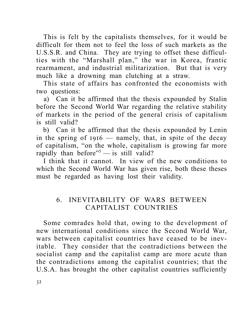This is felt by the capitalists themselves, for it would be difficult for them not to feel the loss of such markets as the U.S.S.R. and China. They are trying to offset these difficulties with the "Marshall plan," the war in Korea, frantic rearmament, and industrial militarization. But that is very much like a drowning man clutching at a straw.

This state of affairs has confronted the economists with two questions:

a) Can it be affirmed that the thesis expounded by Stalin before the Second World War regarding the relative stability of markets in the period of the general crisis of capitalism is still valid?

b) Can it be affirmed that the thesis expounded by Lenin in the spring of  $1916$  — namely, that, in spite of the decay of capitalism, "on the whole, capitalism is growing far more rapidly than before["](#page-109-0)<sup>5</sup> — is still valid?

I think that it cannot. In view of the new conditions to which the Second World War has given rise, both these theses must be regarded as having lost their validity.

# 6. INEVITABILITY OF WARS BETWEEN CAPITALIST COUNTRIES

Some comrades hold that, owing to the development of new international conditions since the Second World War, wars between capitalist countries have ceased to be inevitable. They consider that the contradictions between the socialist camp and the capitalist camp are more acute than the contradictions among the capitalist countries; that the U.S.A. has brought the other capitalist countries sufficiently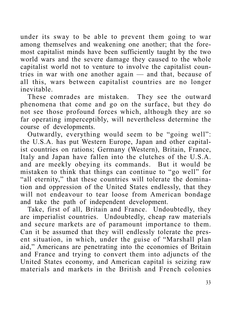under its sway to be able to prevent them going to war among themselves and weakening one another; that the foremost capitalist minds have been sufficiently taught by the two world wars and the severe damage they caused to the whole capitalist world not to venture to involve the capitalist countries in war with one another again — and that, because of all this, wars between capitalist countries are no longer inevitable.

These comrades are mistaken. They see the outward phenomena that come and go on the surface, but they do not see those profound forces which, although they are so far operating imperceptibly, will nevertheless determine the course of developments.

Outwardly, everything would seem to be "going well": the U.S.A. has put Western Europe, Japan and other capitalist countries on rations; Germany (Western), Britain, France, Italy and Japan have fallen into the clutches of the U.S.A. and are meekly obeying its commands. But it would be mistaken to think that things can continue to "go well" for "all eternity," that these countries will tolerate the domination and oppression of the United States endlessly, that they will not endeavour to tear loose from American bondage and take the path of independent development.

Take, first of all, Britain and France. Undoubtedly, they are imperialist countries. Undoubtedly, cheap raw materials and secure markets are of paramount importance to them. Can it be assumed that they will endlessly tolerate the present situation, in which, under the guise of "Marshall plan aid," Americans are penetrating into the economies of Britain and France and trying to convert them into adjuncts of the United States economy, and American capital is seizing raw materials and markets in the British and French colonies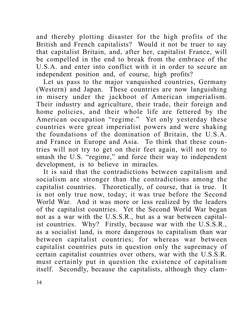and thereby plotting disaster for the high profits of the British and French capitalists? Would it not be truer to say that capitalist Britain, and, after her, capitalist France, will be compelled in the end to break from the embrace of the U.S.A. and enter into conflict with it in order to secure an independent position and, of course, high profits?

Let us pass to the major vanquished countries, Germany (Western) and Japan. These countries are now languishing in misery under the jackboot of American imperialism. Their industry and agriculture, their trade, their foreign and home policies, and their whole life are fettered by the American occupation "regime." Yet only yesterday these countries were great imperialist powers and were shaking the foundations of the domination of Britain, the U.S.A. and France in Europe and Asia. To think that these countries will not try to get on their feet again, will not try to smash the U.S. "regime," and force their way to independent development, is to believe in miracles.

It is said that the contradictions between capitalism and socialism are stronger than the contradictions among the capitalist countries. Theoretically, of course, that is true. It is not only true now, today; it was true before the Second World War. And it was more or less realized by the leaders of the capitalist countries. Yet the Second World War began not as a war with the U.S.S.R., but as a war between capitalist countries. Why? Firstly, because war with the U.S.S.R., as a socialist land, is more dangerous to capitalism than war between capitalist countries; for whereas war between capitalist countries puts in question only the supremacy of certain capitalist countries over others, war with the U.S.S.R. must certainly put in question the existence of capitalism itself. Secondly, because the capitalists, although they clam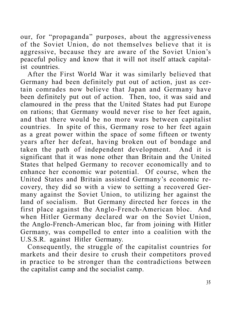our, for "propaganda" purposes, about the aggressiveness of the Soviet Union, do not themselves believe that it is aggressive, because they are aware of the Soviet Union's peaceful policy and know that it will not itself attack capitalist countries.

After the First World War it was similarly believed that Germany had been definitely put out of action, just as certain comrades now believe that Japan and Germany have been definitely put out of action. Then, too, it was said and clamoured in the press that the United States had put Europe on rations; that Germany would never rise to her feet again, and that there would be no more wars between capitalist countries. In spite of this, Germany rose to her feet again as a great power within the space of some fifteen or twenty years after her defeat, having broken out of bondage and taken the path of independent development. And it is significant that it was none other than Britain and the United States that helped Germany to recover economically and to enhance her economic war potential. Of course, when the United States and Britain assisted Germany's economic recovery, they did so with a view to setting a recovered Germany against the Soviet Union, to utilizing her against the land of socialism. But Germany directed her forces in the first place against the Anglo-French-American bloc. And when Hitler Germany declared war on the Soviet Union, the Anglo-French-American bloc, far from joining with Hitler Germany, was compelled to enter into a coalition with the U.S.S.R. against Hitler Germany.

Consequently, the struggle of the capitalist countries for markets and their desire to crush their competitors proved in practice to be stronger than the contradictions between the capitalist camp and the socialist camp.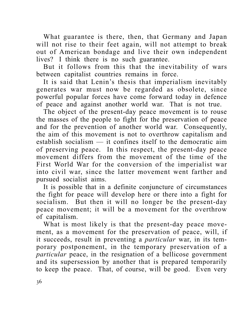What guarantee is there, then, that Germany and Japan will not rise to their feet again, will not attempt to break out of American bondage and live their own independent lives? I think there is no such guarantee.

But it follows from this that the inevitability of wars between capitalist countries remains in force.

It is said that Lenin's thesis that imperialism inevitably generates war must now be regarded as obsolete, since powerful popular forces have come forward today in defence of peace and against another world war. That is not true.

The object of the present-day peace movement is to rouse the masses of the people to fight for the preservation of peace and for the prevention of another world war. Consequently, the aim of this movement is not to overthrow capitalism and establish socialism  $-$  it confines itself to the democratic aim of preserving peace. In this respect, the present-day peace movement differs from the movement of the time of the First World War for the conversion of the imperialist war into civil war, since the latter movement went farther and pursued socialist aims.

It is possible that in a definite conjuncture of circumstances the fight for peace will develop here or there into a fight for socialism. But then it will no longer be the present-day peace movement; it will be a movement for the overthrow of capitalism.

What is most likely is that the present-day peace movement, as a movement for the preservation of peace, will, if it succeeds, result in preventing a *particular* war, in its temporary postponement, in the temporary preservation of a *particular* peace, in the resignation of a bellicose government and its supersession by another that is prepared temporarily to keep the peace. That, of course, will be good. Even very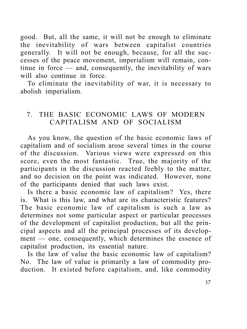good. But, all the same, it will not be enough to eliminate the inevitability of wars between capitalist countries generally. It will not be enough, because, for all the successes of the peace movement, imperialism will remain, continue in force — and, consequently, the inevitability of wars will also continue in force.

To eliminate the inevitability of war, it is necessary to abolish imperialism.

## 7. THE BASIC ECONOMIC LAWS OF MODERN CAPITALISM AND OF SOCIALISM

As you know, the question of the basic economic laws of capitalism and of socialism arose several times in the course of the discussion. Various views were expressed on this score, even the most fantastic. True, the majority of the participants in the discussion reacted feebly to the matter, and no decision on the point was indicated. However, none of the participants denied that such laws exist.

Is there a basic economic law of capitalism? Yes, there is. What is this law, and what are its characteristic features? The basic economic law of capitalism is such a law as determines not some particular aspect or particular processes of the development of capitalist production, but all the principal aspects and all the principal processes of its development — one, consequently, which determines the essence of capitalist production, its essential nature.

Is the law of value the basic economic law of capitalism? No. The law of value is primarily a law of commodity production. It existed before capitalism, and, like commodity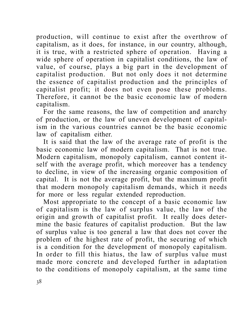production, will continue to exist after the overthrow of capitalism, as it does, for instance, in our country, although, it is true, with a restricted sphere of operation. Having a wide sphere of operation in capitalist conditions, the law of value, of course, plays a big part in the development of capitalist production. But not only does it not determine the essence of capitalist production and the principles of capitalist profit; it does not even pose these problems. Therefore, it cannot be the basic economic law of modern capitalism.

For the same reasons, the law of competition and anarchy of production, or the law of uneven development of capitalism in the various countries cannot be the basic economic law of capitalism either.

It is said that the law of the average rate of profit is the basic economic law of modern capitalism. That is not true. Modern capitalism, monopoly capitalism, cannot content itself with the average profit, which moreover has a tendency to decline, in view of the increasing organic composition of capital. It is not the average profit, but the maximum profit that modern monopoly capitalism demands, which it needs for more or less regular extended reproduction.

Most appropriate to the concept of a basic economic law of capitalism is the law of surplus value, the law of the origin and growth of capitalist profit. It really does determine the basic features of capitalist production. But the law of surplus value is too general a law that does not cover the problem of the highest rate of profit, the securing of which is a condition for the development of monopoly capitalism. In order to fill this hiatus, the law of surplus value must made more concrete and developed further in adaptation to the conditions of monopoly capitalism, at the same time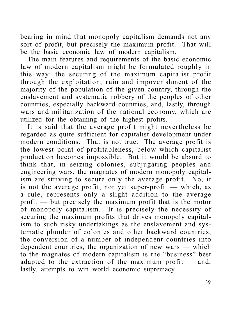bearing in mind that monopoly capitalism demands not any sort of profit, but precisely the maximum profit. That will be the basic economic law of modern capitalism.

The main features and requirements of the basic economic law of modern capitalism might be formulated roughly in this way: the securing of the maximum capitalist profit through the exploitation, ruin and impoverishment of the majority of the population of the given country, through the enslavement and systematic robbery of the peoples of other countries, especially backward countries, and, lastly, through wars and militarization of the national economy, which are utilized for the obtaining of the highest profits.

It is said that the average profit might nevertheless be regarded as quite sufficient for capitalist development under modern conditions. That is not true. The average profit is the lowest point of profitableness, below which capitalist production becomes impossible. But it would be absurd to think that, in seizing colonies, subjugating peoples and engineering wars, the magnates of modern monopoly capitalism are striving to secure only the average profit. No, it is not the average profit, nor yet super-profit — which, as a rule, represents only a slight addition to the average profit — but precisely the maximum profit that is the motor of monopoly capitalism. It is precisely the necessity of securing the maximum profits that drives monopoly capitalism to such risky undertakings as the enslavement and systematic plunder of colonies and other backward countries, the conversion of a number of independent countries into dependent countries, the organization of new wars — which to the magnates of modern capitalism is the "business" best adapted to the extraction of the maximum profit  $-$  and, lastly, attempts to win world economic supremacy.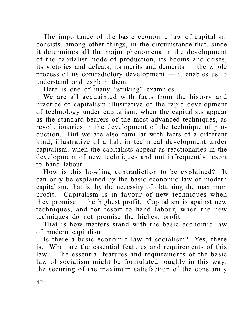The importance of the basic economic law of capitalism consists, among other things, in the circumstance that, since it determines all the major phenomena in the development of the capitalist mode of production, its booms and crises, its victories and defeats, its merits and demerits — the whole process of its contradictory development — it enables us to understand and explain them.

Here is one of many "striking" examples.

We are all acquainted with facts from the history and practice of capitalism illustrative of the rapid development of technology under capitalism, when the capitalists appear as the standard-bearers of the most advanced techniques, as revolutionaries in the development of the technique of production. But we are also familiar with facts of a different kind, illustrative of a halt in technical development under capitalism, when the capitalists appear as reactionaries in the development of new techniques and not infrequently resort to hand labour.

How is this howling contradiction to be explained? It can only be explained by the basic economic law of modern capitalism, that is, by the necessity of obtaining the maximum profit. Capitalism is in favour of new techniques when they promise it the highest profit. Capitalism is against new techniques, and for resort to hand labour, when the new techniques do not promise the highest profit.

That is how matters stand with the basic economic law of modern capitalism.

Is there a basic economic law of socialism? Yes, there is. What are the essential features and requirements of this law? The essential features and requirements of the basic law of socialism might be formulated roughly in this way: the securing of the maximum satisfaction of the constantly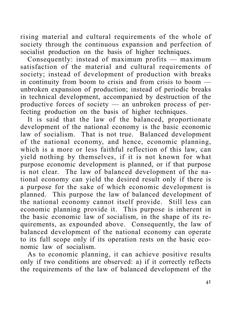rising material and cultural requirements of the whole of society through the continuous expansion and perfection of socialist production on the basis of higher techniques.

Consequently: instead of maximum profits — maximum satisfaction of the material and cultural requirements of society; instead of development of production with breaks in continuity from boom to crisis and from crisis to boom unbroken expansion of production; instead of periodic breaks in technical development, accompanied by destruction of the productive forces of society — an unbroken process of perfecting production on the basis of higher techniques.

It is said that the law of the balanced, proportionate development of the national economy is the basic economic law of socialism. That is not true. Balanced development of the national economy, and hence, economic planning, which is a more or less faithful reflection of this law, can yield nothing by themselves, if it is not known for what purpose economic development is planned, or if that purpose is not clear. The law of balanced development of the national economy can yield the desired result only if there is a purpose for the sake of which economic development is planned. This purpose the law of balanced development of the national economy cannot itself provide. Still less can economic planning provide it. This purpose is inherent in the basic economic law of socialism, in the shape of its requirements, as expounded above. Consequently, the law of balanced development of the national economy can operate to its full scope only if its operation rests on the basic economic law of socialism.

As to economic planning, it can achieve positive results only if two conditions are observed: a) if it correctly reflects the requirements of the law of balanced development of the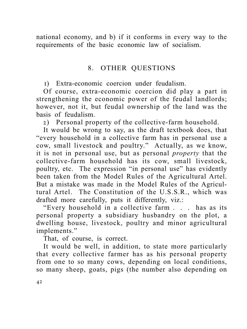national economy, and b) if it conforms in every way to the requirements of the basic economic law of socialism.

# 8. OTHER QUESTIONS

1) Extra-economic coercion under feudalism.

Of course, extra-economic coercion did play a part in strengthening the economic power of the feudal landlords; however, not it, but feudal ownership of the land was the basis of feudalism.

2) Personal property of the collective-farm household.

It would be wrong to say, as the draft textbook does, that "every household in a collective farm has in personal use a cow, small livestock and poultry." Actually, as we know, it is not in personal use, but as personal *property* that the collective-farm household has its cow, small livestock, poultry, etc. The expression "in personal use" has evidently been taken from the Model Rules of the Agricultural Artel. But a mistake was made in the Model Rules of the Agricultural Artel. The Constitution of the U.S.S.R., which was drafted more carefully, puts it differently, viz.:

"Every household in a collective farm . . . has as its personal property a subsidiary husbandry on the plot, a dwelling house, livestock, poultry and minor agricultural implements."

That, of course, is correct.

It would be well, in addition, to state more particularly that every collective farmer has as his personal property from one to so many cows, depending on local conditions, so many sheep, goats, pigs (the number also depending on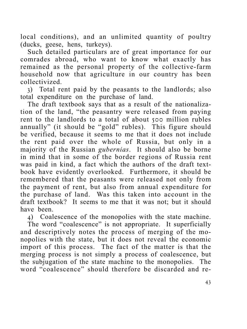local conditions), and an unlimited quantity of poultry (ducks, geese, hens, turkeys).

Such detailed particulars are of great importance for our comrades abroad, who want to know what exactly has remained as the personal property of the collective-farm household now that agriculture in our country has been collectivized.

3) Total rent paid by the peasants to the landlords; also total expenditure on the purchase of land.

The draft textbook says that as a result of the nationalization of the land, "the peasantry were released from paying rent to the landlords to a total of about 500 million rubles annually" (it should be "gold" rubles). This figure should be verified, because it seems to me that it does not include the rent paid over the whole of Russia, but only in a majority of the Russian *gubernias*. It should also be borne in mind that in some of the border regions of Russia rent was paid in kind, a fact which the authors of the draft textbook have evidently overlooked. Furthermore, it should be remembered that the peasants were released not only from the payment of rent, but also from annual expenditure for the purchase of land. Was this taken into account in the draft textbook? It seems to me that it was not; but it should have been.

4) Coalescence of the monopolies with the state machine.

The word "coalescence" is not appropriate. It superficially and descriptively notes the process of merging of the monopolies with the state, but it does not reveal the economic import of this process. The fact of the matter is that the merging process is not simply a process of coalescence, but the subjugation of the state machine to the monopolies. The word "coalescence" should therefore be discarded and re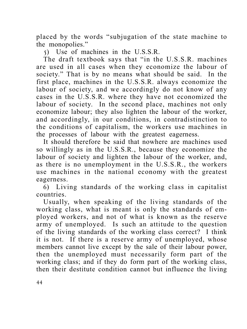placed by the words "subjugation of the state machine to the monopolies."

5) Use of machines in the U.S.S.R.

The draft textbook says that "in the U.S.S.R. machines are used in all cases when they economize the labour of society." That is by no means what should be said. In the first place, machines in the U.S.S.R. always economize the labour of society, and we accordingly do not know of any cases in the U.S.S.R. where they have not economized the labour of society. In the second place, machines not only economize labour; they also lighten the labour of the worker, and accordingly, in our conditions, in contradistinction to the conditions of capitalism, the workers use machines in the processes of labour with the greatest eagerness.

It should therefore be said that nowhere are machines used so willingly as in the U.S.S.R., because they economize the labour of society and lighten the labour of the worker, and, as there is no unemployment in the U.S.S.R., the workers use machines in the national economy with the greatest eagerness.

6) Living standards of the working class in capitalist countries.

Usually, when speaking of the living standards of the working class, what is meant is only the standards of employed workers, and not of what is known as the reserve army of unemployed. Is such an attitude to the question of the living standards of the working class correct? I think it is not. If there is a reserve army of unemployed, whose members cannot live except by the sale of their labour power, then the unemployed must necessarily form part of the working class; and if they do form part of the working class, then their destitute condition cannot but influence the living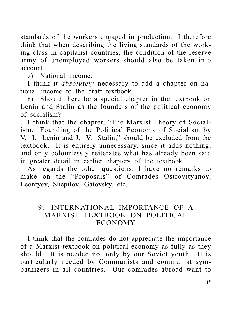standards of the workers engaged in production. I therefore think that when describing the living standards of the working class in capitalist countries, the condition of the reserve army of unemployed workers should also be taken into account.

7) National income.

I think it *absolutely* necessary to add a chapter on national income to the draft textbook.

8) Should there be a special chapter in the textbook on Lenin and Stalin as the founders of the political economy of socialism?

I think that the chapter, "The Marxist Theory of Socialism. Founding of the Political Economy of Socialism by V. I. Lenin and J. V. Stalin," should be excluded from the textbook. It is entirely unnecessary, since it adds nothing, and only colourlessly reiterates what has already been said in greater detail in earlier chapters of the textbook.

As regards the other questions, I have no remarks to make on the "Proposals" of Comrades Ostrovityanov, Leontyev, Shepilov, Gatovsky, etc.

### 9. INTERNATIONAL IMPORTANCE OF A MARXIST TEXTBOOK ON POLITICAL ECONOMY

I think that the comrades do not appreciate the importance of a Marxist textbook on political economy as fully as they should. It is needed not only by our Soviet youth. It is particularly needed by Communists and communist sympathizers in all countries. Our comrades abroad want to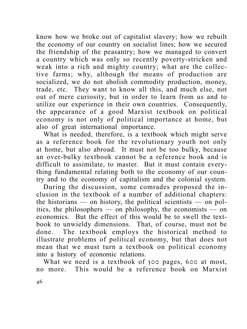know how we broke out of capitalist slavery; how we rebuilt the economy of our country on socialist lines; how we secured the friendship of the peasantry; how we managed to convert a country which was only so recently poverty-stricken and weak into a rich and mighty country; what are the collective farms; why, although the means of production are socialized, we do not abolish commodity production, money, trade, etc. They want to know all this, and much else, not out of mere curiosity, but in order to learn from us and to utilize our experience in their own countries. Consequently, the appearance of a good Marxist textbook on political economy is not only of political importance at home, but also of great international importance.

What is needed, therefore, is a textbook which might serve as a reference book for the revolutionary youth not only at home, but also abroad. It must not be too bulky, because an over-bulky textbook cannot be a reference book and is difficult to assimilate, to master. But it must contain everything fundamental relating both to the economy of our country and to the economy of capitalism and the colonial system.

During the discussion, some comrades proposed the inclusion in the textbook of a number of additional chapters: the historians — on history, the political scientists — on politics, the philosophers — on philosophy, the economists — on economics. But the effect of this would be to swell the textbook to unwieldy dimensions. That, of course, must not be done. The textbook employs the historical method to illustrate problems of political economy, but that does not mean that we must turn a textbook on political economy into a history of economic relations.

What we need is a textbook of 500 pages, 600 at most, no more. This would be a reference book on Marxist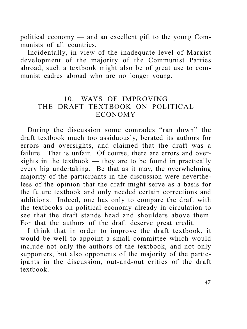political economy — and an excellent gift to the young Communists of all countries.

Incidentally, in view of the inadequate level of Marxist development of the majority of the Communist Parties abroad, such a textbook might also be of great use to communist cadres abroad who are no longer young.

## 10. WAYS OF IMPROVING THE DRAFT TEXTBOOK ON POLITICAL ECONOMY

During the discussion some comrades "ran down" the draft textbook much too assiduously, berated its authors for errors and oversights, and claimed that the draft was a failure. That is unfair. Of course, there are errors and oversights in the textbook — they are to be found in practically every big undertaking. Be that as it may, the overwhelming majority of the participants in the discussion were nevertheless of the opinion that the draft might serve as a basis for the future textbook and only needed certain corrections and additions. Indeed, one has only to compare the draft with the textbooks on political economy already in circulation to see that the draft stands head and shoulders above them. For that the authors of the draft deserve great credit.

I think that in order to improve the draft textbook, it would be well to appoint a small committee which would include not only the authors of the textbook, and not only supporters, but also opponents of the majority of the participants in the discussion, out-and-out critics of the draft textbook.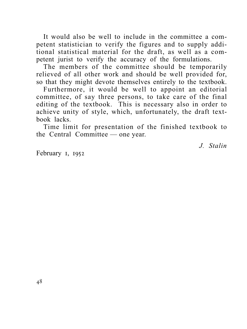It would also be well to include in the committee a competent statistician to verify the figures and to supply additional statistical material for the draft, as well as a competent jurist to verify the accuracy of the formulations.

The members of the committee should be temporarily relieved of all other work and should be well provided for, so that they might devote themselves entirely to the textbook.

Furthermore, it would be well to appoint an editorial committee, of say three persons, to take care of the final editing of the textbook. This is necessary also in order to achieve unity of style, which, unfortunately, the draft textbook lacks.

Time limit for presentation of the finished textbook to the Central Committee — one year.

*J. Stalin*

February 1, 1952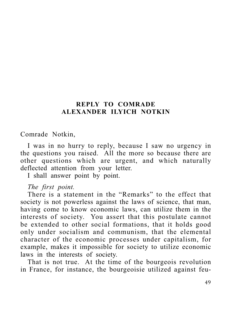### **REPLY TO COMRADE ALEXANDER ILYICH NOTKIN**

### Comrade Notkin,

I was in no hurry to reply, because I saw no urgency in the questions you raised. All the more so because there are other questions which are urgent, and which naturally deflected attention from your letter.

I shall answer point by point.

# *The first point.*

There is a statement in the "Remarks" to the effect that society is not powerless against the laws of science, that man, having come to know economic laws, can utilize them in the interests of society. You assert that this postulate cannot be extended to other social formations, that it holds good only under socialism and communism, that the elemental character of the economic processes under capitalism, for example, makes it impossible for society to utilize economic laws in the interests of society.

That is not true. At the time of the bourgeois revolution in France, for instance, the bourgeoisie utilized against feu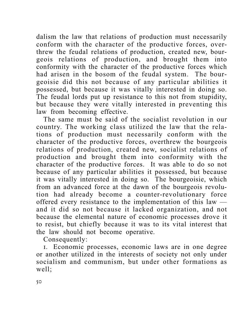dalism the law that relations of production must necessarily conform with the character of the productive forces, overthrew the feudal relations of production, created new, bourgeois relations of production, and brought them into conformity with the character of the productive forces which had arisen in the bosom of the feudal system. The bourgeoisie did this not because of any particular abilities it possessed, but because it was vitally interested in doing so. The feudal lords put up resistance to this not from stupidity, but because they were vitally interested in preventing this law from becoming effective.

The same must be said of the socialist revolution in our country. The working class utilized the law that the relations of production must necessarily conform with the character of the productive forces, overthrew the bourgeois relations of production, created new, socialist relations of production and brought them into conformity with the character of the productive forces. It was able to do so not because of any particular abilities it possessed, but because it was vitally interested in doing so. The bourgeoisie, which from an advanced force at the dawn of the bourgeois revolution had already become a counter-revolutionary force offered every resistance to the implementation of this law and it did so not because it lacked organization, and not because the elemental nature of economic processes drove it to resist, but chiefly because it was to its vital interest that the law should not become operative.

Consequently:

1. Economic processes, economic laws are in one degree or another utilized in the interests of society not only under socialism and communism, but under other formations as well;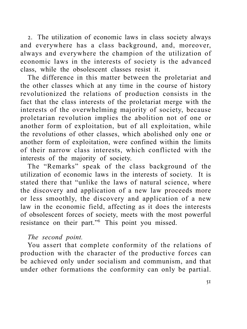2. The utilization of economic laws in class society always and everywhere has a class background, and, moreover, always and everywhere the champion of the utilization of economic laws in the interests of society is the advanced class, while the obsolescent classes resist it.

The difference in this matter between the proletariat and the other classes which at any time in the course of history revolutionized the relations of production consists in the fact that the class interests of the proletariat merge with the interests of the overwhelming majority of society, because proletarian revolution implies the abolition not of one or another form of exploitation, but of all exploitation, while the revolutions of other classes, which abolished only one or another form of exploitation, were confined within the limits of their narrow class interests, which conflicted with the interests of the majority of society.

The "Remarks" speak of the class background of the utilization of economic laws in the interests of society. It is stated there that "unlike the laws of natural science, where the discovery and application of a new law proceeds more or less smoothly, the discovery and application of a new law in the economic field, affecting as it does the interests of obsolescent forces of society, meets with the most powerful resistance on their part."[6](#page-109-0) This point you missed.

# *The second point.*

You assert that complete conformity of the relations of production with the character of the productive forces can be achieved only under socialism and communism, and that under other formations the conformity can only be partial.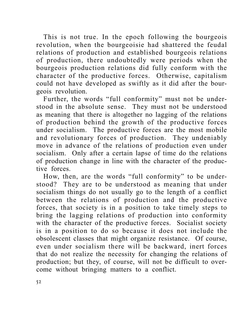This is not true. In the epoch following the bourgeois revolution, when the bourgeoisie had shattered the feudal relations of production and established bourgeois relations of production, there undoubtedly were periods when the bourgeois production relations did fully conform with the character of the productive forces. Otherwise, capitalism could not have developed as swiftly as it did after the bourgeois revolution.

Further, the words "full conformity" must not be understood in the absolute sense. They must not be understood as meaning that there is altogether no lagging of the relations of production behind the growth of the productive forces under socialism. The productive forces are the most mobile and revolutionary forces of production. They undeniably move in advance of the relations of production even under socialism. Only after a certain lapse of time do the relations of production change in line with the character of the productive forces.

How, then, are the words "full conformity" to be understood? They are to be understood as meaning that under socialism things do not usually go to the length of a conflict between the relations of production and the productive forces, that society is in a position to take timely steps to bring the lagging relations of production into conformity with the character of the productive forces. Socialist society is in a position to do so because it does not include the obsolescent classes that might organize resistance. Of course, even under socialism there will be backward, inert forces that do not realize the necessity for changing the relations of production; but they, of course, will not be difficult to overcome without bringing matters to a conflict.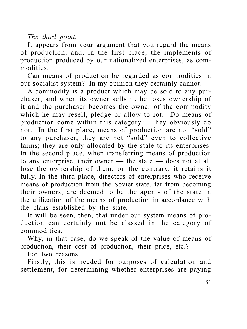# *The third point.*

It appears from your argument that you regard the means of production, and, in the first place, the implements of production produced by our nationalized enterprises, as commodities.

Can means of production be regarded as commodities in our socialist system? In my opinion they certainly cannot.

A commodity is a product which may be sold to any purchaser, and when its owner sells it, he loses ownership of it and the purchaser becomes the owner of the commodity which he may resell, pledge or allow to rot. Do means of production come within this category? They obviously do not. In the first place, means of production are not "sold" to any purchaser, they are not "sold" even to collective farms; they are only allocated by the state to its enterprises. In the second place, when transferring means of production to any enterprise, their owner — the state — does not at all lose the ownership of them; on the contrary, it retains it fully. In the third place, directors of enterprises who receive means of production from the Soviet state, far from becoming their owners, are deemed to be the agents of the state in the utilization of the means of production in accordance with the plans established by the state.

It will be seen, then, that under our system means of production can certainly not be classed in the category of commodities.

Why, in that case, do we speak of the value of means of production, their cost of production, their price, etc.?

For two reasons.

Firstly, this is needed for purposes of calculation and settlement, for determining whether enterprises are paying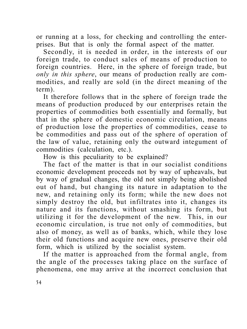or running at a loss, for checking and controlling the enterprises. But that is only the formal aspect of the matter.

Secondly, it is needed in order, in the interests of our foreign trade, to conduct sales of means of production to foreign countries. Here, in the sphere of foreign trade, but *only in this sphere*, our means of production really are commodities, and really are sold (in the direct meaning of the term).

It therefore follows that in the sphere of foreign trade the means of production produced by our enterprises retain the properties of commodities both essentially and formally, but that in the sphere of domestic economic circulation, means of production lose the properties of commodities, cease to be commodities and pass out of the sphere of operation of the law of value, retaining only the outward integument of commodities (calculation, etc.).

How is this peculiarity to be explained?

The fact of the matter is that in our socialist conditions economic development proceeds not by way of upheavals, but by way of gradual changes, the old not simply being abolished out of hand, but changing its nature in adaptation to the new, and retaining only its form; while the new does not simply destroy the old, but infiltrates into it, changes its nature and its functions, without smashing its form, but utilizing it for the development of the new. This, in our economic circulation, is true not only of commodities, but also of money, as well as of banks, which, while they lose their old functions and acquire new ones, preserve their old form, which is utilized by the socialist system.

If the matter is approached from the formal angle, from the angle of the processes taking place on the surface of phenomena, one may arrive at the incorrect conclusion that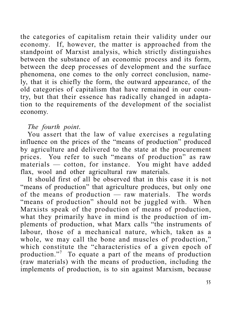the categories of capitalism retain their validity under our economy. If, however, the matter is approached from the standpoint of Marxist analysis, which strictly distinguishes between the substance of an economic process and its form, between the deep processes of development and the surface phenomena, one comes to the only correct conclusion, namely, that it is chiefly the form, the outward appearance, of the old categories of capitalism that have remained in our country, but that their essence has radically changed in adaptation to the requirements of the development of the socialist economy.

### *The fourth point*.

You assert that the law of value exercises a regulating influence on the prices of the "means of production" produced by agriculture and delivered to the state at the procurement prices. You refer to such "means of production" as raw materials — cotton, for instance. You might have added flax, wool and other agricultural raw materials.

It should first of all be observed that in this case it is not "means of production" that agriculture produces, but only one of the means of production — raw materials. The words "means of production" should not be juggled with. When Marxists speak of the production of means of production, what they primarily have in mind is the production of implements of production, what Marx calls "the instruments of labour, those of a mechanical nature, which, taken as a whole, we may call the bone and muscles of production," which constitute the "characteristics of a given epoch of production."<sup>7</sup> To equate a part of the means of production (raw materials) with the means of production, including the implements of production, is to sin against Marxism, because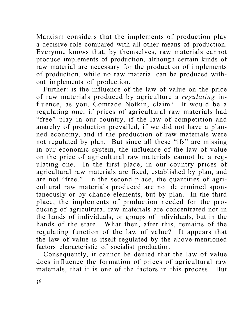Marxism considers that the implements of production play a decisive role compared with all other means of production. Everyone knows that, by themselves, raw materials cannot produce implements of production, although certain kinds of raw material are necessary for the production of implements of production, while no raw material can be produced without implements of production.

Further: is the influence of the law of value on the price of raw materials produced by agriculture a *regulating* influence, as you, Comrade Notkin, claim? It would be a regulating one, if prices of agricultural raw materials had "free" play in our country, if the law of competition and anarchy of production prevailed, if we did not have a planned economy, and if the production of raw materials were not regulated by plan. But since all these "ifs" are missing in our economic system, the influence of the law of value on the price of agricultural raw materials cannot be a regulating one. In the first place, in our country prices of agricultural raw materials are fixed, established by plan, and are not "free." In the second place, the quantities of agricultural raw materials produced are not determined spontaneously or by chance elements, but by plan. In the third place, the implements of production needed for the producing of agricultural raw materials are concentrated not in the hands of individuals, or groups of individuals, but in the hands of the state. What then, after this, remains of the regulating function of the law of value? It appears that the law of value is itself regulated by the above-mentioned factors characteristic of socialist production.

Consequently, it cannot be denied that the law of value does influence the formation of prices of agricultural raw materials, that it is one of the factors in this process. But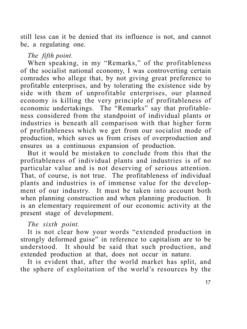still less can it be denied that its influence is not, and cannot be, a regulating one.

#### *The fifth point.*

When speaking, in my "Remarks," of the profitableness of the socialist national economy, I was controverting certain comrades who allege that, by not giving great preference to profitable enterprises, and by tolerating the existence side by side with them of unprofitable enterprises, our planned economy is killing the very principle of profitableness of economic undertakings. The "Remarks" say that profitableness considered from the standpoint of individual plants or industries is beneath all comparison with that higher form of profitableness which we get from our socialist mode of production, which saves us from crises of overproduction and ensures us a continuous expansion of production.

But it would be mistaken to conclude from this that the profitableness of individual plants and industries is of no particular value and is not deserving of serious attention. That, of course, is not true. The profitableness of individual plants and industries is of immense value for the development of our industry. It must be taken into account both when planning construction and when planning production. It is an elementary requirement of our economic activity at the present stage of development.

### *The sixth point.*

It is not clear how your words "extended production in strongly deformed guise" in reference to capitalism are to be understood. It should be said that such production, and extended production at that, does not occur in nature.

It is evident that, after the world market has split, and the sphere of exploitation of the world's resources by the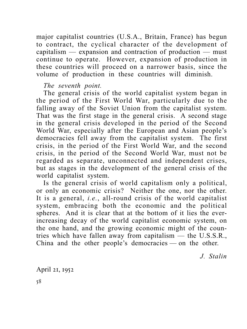major capitalist countries (U.S.A., Britain, France) has begun to contract, the cyclical character of the development of capitalism — expansion and contraction of production — must continue to operate. However, expansion of production in these countries will proceed on a narrower basis, since the volume of production in these countries will diminish.

### *The seventh point.*

The general crisis of the world capitalist system began in the period of the First World War, particularly due to the falling away of the Soviet Union from the capitalist system. That was the first stage in the general crisis. A second stage in the general crisis developed in the period of the Second World War, especially after the European and Asian people's democracies fell away from the capitalist system. The first crisis, in the period of the First World War, and the second crisis, in the period of the Second World War, must not be regarded as separate, unconnected and independent crises, but as stages in the development of the general crisis of the world capitalist system.

Is the general crisis of world capitalism only a political, or only an economic crisis? Neither the one, nor the other. It is a general, *i.e.*, all-round crisis of the world capitalist system, embracing both the economic and the political spheres. And it is clear that at the bottom of it lies the everincreasing decay of the world capitalist economic system, on the one hand, and the growing economic might of the countries which have fallen away from capitalism — the U.S.S.R., China and the other people's democracies — on the other.

*J. Stalin*

April 21, 1952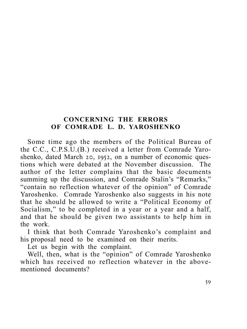## **CONCERNING THE ERRORS OF COMRADE L. D. YAROSHENKO**

Some time ago the members of the Political Bureau of the C.C., C.P.S.U.(B.) received a letter from Comrade Yaroshenko, dated March 20, 1952, on a number of economic questions which were debated at the November discussion. The author of the letter complains that the basic documents summing up the discussion, and Comrade Stalin's "Remarks," "contain no reflection whatever of the opinion" of Comrade Yaroshenko. Comrade Yaroshenko also suggests in his note that he should be allowed to write a "Political Economy of Socialism," to be completed in a year or a year and a half, and that he should be given two assistants to help him in the work.

I think that both Comrade Yaroshenko's complaint and his proposal need to be examined on their merits.

Let us begin with the complaint.

Well, then, what is the "opinion" of Comrade Yaroshenko which has received no reflection whatever in the abovementioned documents?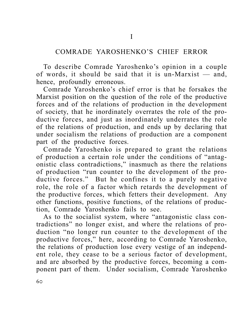#### COMRADE YAROSHENKO'S CHIEF ERROR

To describe Comrade Yaroshenko's opinion in a couple of words, it should be said that it is un-Marxist  $-$  and, hence, profoundly erroneous.

Comrade Yaroshenko's chief error is that he forsakes the Marxist position on the question of the role of the productive forces and of the relations of production in the development of society, that he inordinately overrates the role of the productive forces, and just as inordinately underrates the role of the relations of production, and ends up by declaring that under socialism the relations of production are a component part of the productive forces.

Comrade Yaroshenko is prepared to grant the relations of production a certain role under the conditions of "antagonistic class contradictions," inasmuch as there the relations of production "run counter to the development of the productive forces." But he confines it to a purely negative role, the role of a factor which retards the development of the productive forces, which fetters their development. Any other functions, positive functions, of the relations of production, Comrade Yaroshenko fails to see.

As to the socialist system, where "antagonistic class contradictions" no longer exist, and where the relations of production "no longer run counter to the development of the productive forces," here, according to Comrade Yaroshenko, the relations of production lose every vestige of an independent role, they cease to be a serious factor of development, and are absorbed by the productive forces, becoming a component part of them. Under socialism, Comrade Yaroshenko

60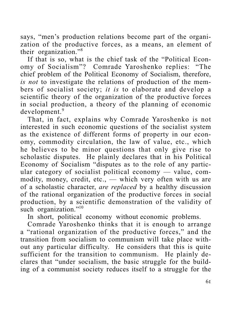says, "men's production relations become part of the organization of the productive forces, as a means, an element of their organization[."](#page-109-0)<sup>8</sup>

If that is so, what is the chief task of the "Political Economy of Socialism"? Comrade Yaroshenko replies: "The chief problem of the Political Economy of Socialism, therefore, *is not* to investigate the relations of production of the members of socialist society; *it is* to elaborate and develop a scientific theory of the organization of the productive forces in social pr[odu](#page-109-0)ction, a theory of the planning of economic development.<sup>9</sup>

That, in fact, explains why Comrade Yaroshenko is not interested in such economic questions of the socialist system as the existence of different forms of property in our economy, commodity circulation, the law of value, etc., which he believes to be minor questions that only give rise to scholastic disputes. He plainly declares that in his Political Economy of Socialism "disputes as to the role of any particular category of socialist political economy — value, commodity, money, credit, etc., — which very often with us are of a scholastic character, *are replaced* by a healthy discussion of the rational organization of the productive forces in social production, by a scientific demonstration of the validity of such organization."<sup>[10](#page-109-0)</sup>

In short, political economy without economic problems.

Comrade Yaroshenko thinks that it is enough to arrange a "rational organization of the productive forces," and the transition from socialism to communism will take place without any particular difficulty. He considers that this is quite sufficient for the transition to communism. He plainly declares that "under socialism, the basic struggle for the building of a communist society reduces itself to a struggle for the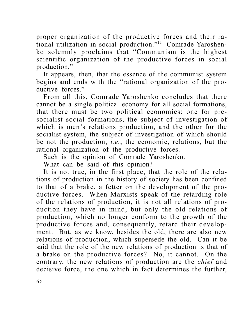proper organization of the productive forces and their rational utilization in social production."[11](#page-109-0) Comrade Yaroshenko solemnly proclaims that "Communism is the highest scientific organization of the productive forces in social production."

It appears, then, that the essence of the communist system begins and ends with the "rational organization of the productive forces."

From all this, Comrade Yaroshenko concludes that there cannot be a single political economy for all social formations, that there must be two political economies: one for presocialist social formations, the subject of investigation of which is men's relations production, and the other for the socialist system, the subject of investigation of which should be not the production, *i.e.*, the economic, relations, but the rational organization of the productive forces.

Such is the opinion of Comrade Yaroshenko.

What can be said of this opinion?

It is not true, in the first place, that the role of the relations of production in the history of society has been confined to that of a brake, a fetter on the development of the productive forces. When Marxists speak of the retarding role of the relations of production, it is not all relations of production they have in mind, but only the old relations of production, which no longer conform to the growth of the productive forces and, consequently, retard their development. But, as we know, besides the old, there are also new relations of production, which supersede the old. Can it be said that the role of the new relations of production is that of a brake on the productive forces? No, it cannot. On the contrary, the new relations of production are the *chief* and decisive force, the one which in fact determines the further,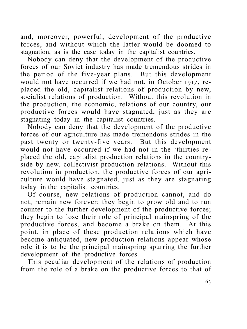and, moreover, powerful, development of the productive forces, and without which the latter would be doomed to stagnation, as is the case today in the capitalist countries.

Nobody can deny that the development of the productive forces of our Soviet industry has made tremendous strides in the period of the five-year plans. But this development would not have occurred if we had not, in October 1917, replaced the old, capitalist relations of production by new, socialist relations of production. Without this revolution in the production, the economic, relations of our country, our productive forces would have stagnated, just as they are stagnating today in the capitalist countries.

Nobody can deny that the development of the productive forces of our agriculture has made tremendous strides in the past twenty or twenty-five years. But this development would not have occurred if we had not in the 'thirties replaced the old, capitalist production relations in the countryside by new, collectivist production relations. Without this revolution in production, the productive forces of our agriculture would have stagnated, just as they are stagnating today in the capitalist countries.

Of course, new relations of production cannot, and do not, remain new forever; they begin to grow old and to run counter to the further development of the productive forces; they begin to lose their role of principal mainspring of the productive forces, and become a brake on them. At this point, in place of these production relations which have become antiquated, new production relations appear whose role it is to be the principal mainspring spurring the further development of the productive forces.

This peculiar development of the relations of production from the role of a brake on the productive forces to that of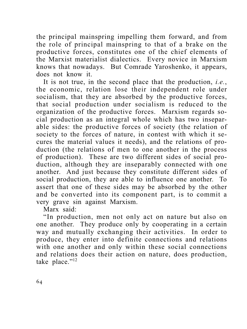the principal mainspring impelling them forward, and from the role of principal mainspring to that of a brake on the productive forces, constitutes one of the chief elements of the Marxist materialist dialectics. Every novice in Marxism knows that nowadays. But Comrade Yaroshenko, it appears, does not know it.

It is not true, in the second place that the production, *i.e.*, the economic, relation lose their independent role under socialism, that they are absorbed by the productive forces, that social production under socialism is reduced to the organization of the productive forces. Marxism regards social production as an integral whole which has two inseparable sides: the productive forces of society (the relation of society to the forces of nature, in contest with which it secures the material values it needs), and the relations of production (the relations of men to one another in the process of production). These are two different sides of social production, although they are inseparably connected with one another. And just because they constitute different sides of social production, they are able to influence one another. To assert that one of these sides may be absorbed by the other and be converted into its component part, is to commit a very grave sin against Marxism.

Marx said:

"In production, men not only act on nature but also on one another. They produce only by cooperating in a certain way and mutually exchanging their activities. In order to produce, they enter into definite connections and relations with one another and only within these social connections and relations does their action on nature, does production, take place."<sup>[12](#page-109-0)</sup>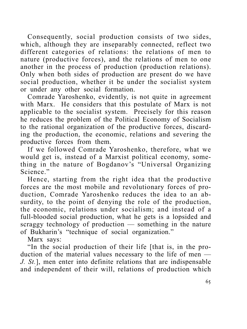Consequently, social production consists of two sides, which, although they are inseparably connected, reflect two different categories of relations: the relations of men to nature (productive forces), and the relations of men to one another in the process of production (production relations). Only when both sides of production are present do we have social production, whether it be under the socialist system or under any other social formation.

Comrade Yaroshenko, evidently, is not quite in agreement with Marx. He considers that this postulate of Marx is not applicable to the socialist system. Precisely for this reason he reduces the problem of the Political Economy of Socialism to the rational organization of the productive forces, discarding the production, the economic, relations and severing the productive forces from them.

If we followed Comrade Yaroshenko, therefore, what we would get is, instead of a Marxist political economy, something in the nature of Bogdanov's "Universal Organizing Science."

Hence, starting from the right idea that the productive forces are the most mobile and revolutionary forces of production, Comrade Yaroshenko reduces the idea to an absurdity, to the point of denying the role of the production, the economic, relations under socialism; and instead of a full-blooded social production, what he gets is a lopsided and scraggy technology of production — something in the nature of Bukharin's "technique of social organization."

Marx says:

"In the social production of their life [that is, in the production of the material values necessary to the life of men — *J. St.*], men enter into definite relations that are indispensable and independent of their will, relations of production which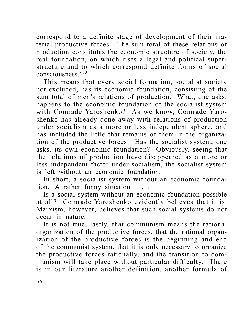correspond to a definite stage of development of their material productive forces. The sum total of these relations of production constitutes the economic structure of society, the real foundation, on which rises a legal and political superstructure and [to](#page-109-0) which correspond definite forms of social consciousness."<sup>13</sup>

This means that every social formation, socialist society not excluded, has its economic foundation, consisting of the sum total of men's relations of production. What, one asks, happens to the economic foundation of the socialist system with Comrade Yaroshenko? As we know, Comrade Yaroshenko has already done away with relations of production under socialism as a more or less independent sphere, and has included the little that remains of them in the organization of the productive forces. Has the socialist system, one asks, its own economic foundation? Obviously, seeing that the relations of production have disappeared as a more or less independent factor under socialism, the socialist system is left without an economic foundation.

In short, a socialist system without an economic foundation. A rather funny situation. . . .

Is a social system without an economic foundation possible at all? Comrade Yaroshenko evidently believes that it is. Marxism, however, believes that such social systems do not occur in nature.

It is not true, lastly, that communism means the rational organization of the productive forces, that the rational organization of the productive forces is the beginning and end of the communist system, that it is only necessary to organize the productive forces rationally, and the transition to communism will take place without particular difficulty. There is in our literature another definition, another formula of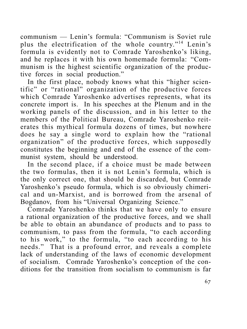communism — Lenin's formula: "Communism is Soviet rule plus the electrification of the whole country."[14](#page-109-0) Lenin's formula is evidently not to Comrade Yaroshenko's liking, and he replaces it with his own homemade formula: "Communism is the highest scientific organization of the productive forces in social production."

In the first place, nobody knows what this "higher scientific" or "rational" organization of the productive forces which Comrade Yaroshenko advertises represents, what its concrete import is. In his speeches at the Plenum and in the working panels of the discussion, and in his letter to the members of the Political Bureau, Comrade Yaroshenko reiterates this mythical formula dozens of times, but nowhere does he say a single word to explain how the "rational organization" of the productive forces, which supposedly constitutes the beginning and end of the essence of the communist system, should be understood.

In the second place, if a choice must be made between the two formulas, then it is not Lenin's formula, which is the only correct one, that should be discarded, but Comrade Yaroshenko's pseudo formula, which is so obviously chimerical and un-Marxist, and is borrowed from the arsenal of Bogdanov, from his "Universal Organizing Science."

Comrade Yaroshenko thinks that we have only to ensure a rational organization of the productive forces, and we shall be able to obtain an abundance of products and to pass to communism, to pass from the formula, "to each according to his work," to the formula, "to each according to his needs." That is a profound error, and reveals a complete lack of understanding of the laws of economic development of socialism. Comrade Yaroshenko's conception of the conditions for the transition from socialism to communism is far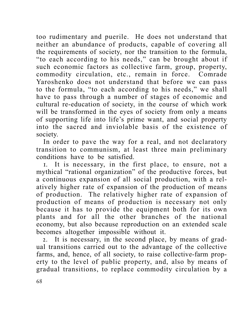too rudimentary and puerile. He does not understand that neither an abundance of products, capable of covering all the requirements of society, nor the transition to the formula, "to each according to his needs," can be brought about if such economic factors as collective farm, group, property, commodity circulation, etc., remain in force. Comrade Yaroshenko does not understand that before we can pass to the formula, "to each according to his needs," we shall have to pass through a number of stages of economic and cultural re-education of society, in the course of which work will be transformed in the eyes of society from only a means of supporting life into life's prime want, and social property into the sacred and inviolable basis of the existence of society.

In order to pave the way for a real, and not declaratory transition to communism, at least three main preliminary conditions have to be satisfied.

1. It is necessary, in the first place, to ensure, not a mythical "rational organization" of the productive forces, but a continuous expansion of all social production, with a relatively higher rate of expansion of the production of means of production. The relatively higher rate of expansion of production of means of production is necessary not only because it has to provide the equipment both for its own plants and for all the other branches of the national economy, but also because reproduction on an extended scale becomes altogether impossible without it.

2. It is necessary, in the second place, by means of gradual transitions carried out to the advantage of the collective farms, and, hence, of all society, to raise collective-farm property to the level of public property, and, also by means of gradual transitions, to replace commodity circulation by a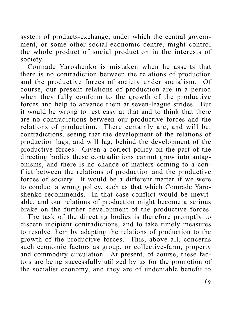system of products-exchange, under which the central government, or some other social-economic centre, might control the whole product of social production in the interests of society.

Comrade Yaroshenko is mistaken when he asserts that there is no contradiction between the relations of production and the productive forces of society under socialism. Of course, our present relations of production are in a period when they fully conform to the growth of the productive forces and help to advance them at seven-league strides. But it would be wrong to rest easy at that and to think that there are no contradictions between our productive forces and the relations of production. There certainly are, and will be, contradictions, seeing that the development of the relations of production lags, and will lag, behind the development of the productive forces. Given a correct policy on the part of the directing bodies these contradictions cannot grow into antagonisms, and there is no chance of matters coming to a conflict between the relations of production and the productive forces of society. It would be a different matter if we were to conduct a wrong policy, such as that which Comrade Yaroshenko recommends. In that case conflict would be inevitable, and our relations of production might become a serious brake on the further development of the productive forces.

The task of the directing bodies is therefore promptly to discern incipient contradictions, and to take timely measures to resolve them by adapting the relations of production to the growth of the productive forces. This, above all, concerns such economic factors as group, or collective-farm, property and commodity circulation. At present, of course, these factors are being successfully utilized by us for the promotion of the socialist economy, and they are of undeniable benefit to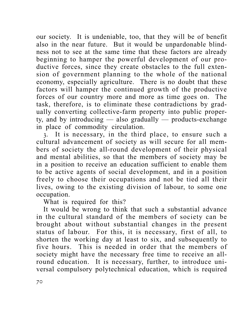our society. It is undeniable, too, that they will be of benefit also in the near future. But it would be unpardonable blindness not to see at the same time that these factors are already beginning to hamper the powerful development of our productive forces, since they create obstacles to the full extension of government planning to the whole of the national economy, especially agriculture. There is no doubt that these factors will hamper the continued growth of the productive forces of our country more and more as time goes on. The task, therefore, is to eliminate these contradictions by gradually converting collective-farm property into public property, and by introducing — also gradually — products-exchange in place of commodity circulation.

3. It is necessary, in the third place, to ensure such a cultural advancement of society as will secure for all members of society the all-round development of their physical and mental abilities, so that the members of society may be in a position to receive an education sufficient to enable them to be active agents of social development, and in a position freely to choose their occupations and not be tied all their lives, owing to the existing division of labour, to some one occupation.

What is required for this?

It would be wrong to think that such a substantial advance in the cultural standard of the members of society can be brought about without substantial changes in the present status of labour. For this, it is necessary, first of all, to shorten the working day at least to six, and subsequently to five hours. This is needed in order that the members of society might have the necessary free time to receive an allround education. It is necessary, further, to introduce universal compulsory polytechnical education, which is required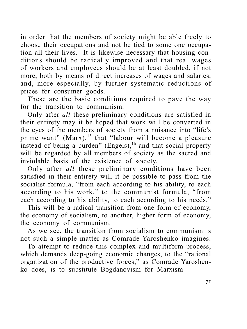in order that the members of society might be able freely to choose their occupations and not be tied to some one occupation all their lives. It is likewise necessary that housing conditions should be radically improved and that real wages of workers and employees should be at least doubled, if not more, both by means of direct increases of wages and salaries, and, more especially, by further systematic reductions of prices for consumer goods.

These are the basic conditions required to pave the way for the transition to communism.

Only after *all* these preliminary conditions are satisfied in their entirety may it be hoped that work will be converted in the eyes of the members of society from a nuisance into "life's prime want" (Marx),<sup>15</sup> that "labour will become a pleasure instead of being a burden" (Engels), $16$  and that social property will be regarded by all members of society as the sacred and inviolable basis of the existence of society.

Only after *all* these preliminary conditions have been satisfied in their entirety will it be possible to pass from the socialist formula, "from each according to his ability, to each according to his work," to the communist formula, "from each according to his ability, to each according to his needs."

This will be a radical transition from one form of economy, the economy of socialism, to another, higher form of economy, the economy of communism.

As we see, the transition from socialism to communism is not such a simple matter as Comrade Yaroshenko imagines.

To attempt to reduce this complex and multiform process, which demands deep-going economic changes, to the "rational organization of the productive forces," as Comrade Yaroshenko does, is to substitute Bogdanovism for Marxism.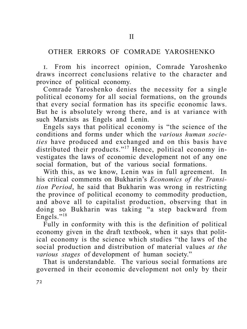1. From his incorrect opinion, Comrade Yaroshenko draws incorrect conclusions relative to the character and province of political economy.

Comrade Yaroshenko denies the necessity for a single political economy for all social formations, on the grounds that every social formation has its specific economic laws. But he is absolutely wrong there, and is at variance with such Marxists as Engels and Lenin.

Engels says that political economy is "the science of the conditions and forms under which the *various human societies* have produced and exchanged and on this basis have distributed their products."<sup>17</sup> Hence, political economy investigates the laws of economic development not of any one social formation, but of the various social formations.

With this, as we know, Lenin was in full agreement. In his critical comments on Bukharin's *Economics of the Transition Period*, he said that Bukharin was wrong in restricting the province of political economy to commodity production, and above all to capitalist production, observing that in doing [so](#page-110-0) Bukharin was taking "a step backward from Engels."<sup>18</sup>

Fully in conformity with this is the definition of political economy given in the draft textbook, when it says that political economy is the science which studies "the laws of the social production and distribution of material values *at the various stages* of development of human society."

That is understandable. The various social formations are governed in their economic development not only by their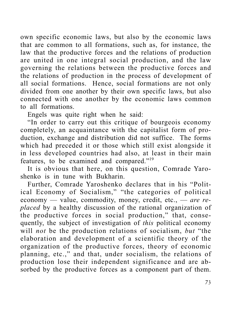own specific economic laws, but also by the economic laws that are common to all formations, such as, for instance, the law that the productive forces and the relations of production are united in one integral social production, and the law governing the relations between the productive forces and the relations of production in the process of development of all social formations. Hence, social formations are not only divided from one another by their own specific laws, but also connected with one another by the economic laws common to all formations.

Engels was quite right when he said:

"In order to carry out this critique of bourgeois economy completely, an acquaintance with the capitalist form of production, exchange and distribution did not suffice. The forms which had preceded it or those which still exist alongside it in less developed countries had also, at least in their main features, to be examined and compared."[19](#page-110-0)

It is obvious that here, on this question, Comrade Yaroshenko is in tune with Bukharin.

Further, Comrade Yaroshenko declares that in his "Political Economy of Socialism," "the categories of political economy — value, commodity, money, credit, etc., — *are replaced* by a healthy discussion of the rational organization of the productive forces in social production," that, consequently, the subject of investigation of *this* political economy will *not* be the production relations of socialism, *but* "the elaboration and development of a scientific theory of the organization of the productive forces, theory of economic planning, etc.," and that, under socialism, the relations of production lose their independent significance and are absorbed by the productive forces as a component part of them.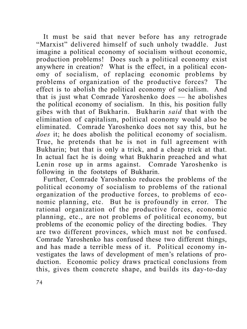It must be said that never before has any retrograde "Marxist" delivered himself of such unholy twaddle. Just imagine a political economy of socialism without economic, production problems! Does such a political economy exist anywhere in creation? What is the effect, in a political economy of socialism, of replacing economic problems by problems of organization of the productive forces? The effect is to abolish the political economy of socialism. And that is just what Comrade Yaroshenko does — he abolishes the political economy of socialism. In this, his position fully gibes with that of Bukharin. Bukharin *said* that with the elimination of capitalism, political economy would also be eliminated. Comrade Yaroshenko does not say this, but he *does* it; he does abolish the political economy of socialism. True, he pretends that he is not in full agreement with Bukharin; but that is only a trick, and a cheap trick at that. In actual fact he is doing what Bukharin preached and what Lenin rose up in arms against. Comrade Yaroshenko is following in the footsteps of Bukharin.

Further, Comrade Yaroshenko reduces the problems of the political economy of socialism to problems of the rational organization of the productive forces, to problems of economic planning, etc. But he is profoundly in error. The rational organization of the productive forces, economic planning, etc., are not problems of political economy, but problems of the economic policy of the directing bodies. They are two different provinces, which must not be confused. Comrade Yaroshenko has confused these two different things, and has made a terrible mess of it. Political economy investigates the laws of development of men's relations of production. Economic policy draws practical conclusions from this, gives them concrete shape, and builds its day-to-day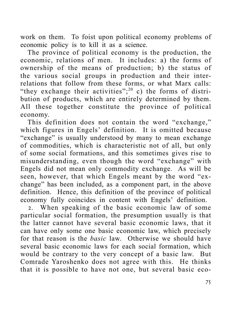work on them. To foist upon political economy problems of economic policy is to kill it as a science.

The province of political economy is the production, the economic, relations of men. It includes: a) the forms of ownership of the means of production; b) the status of the various social groups in production and their interrelations that follow from these forms, or what Marx calls: "they exchange their activities": $20$  c) the forms of distribution of products, which are entirely determined by them. All these together constitute the province of political economy.

This definition does not contain the word "exchange," which figures in Engels' definition. It is omitted because "exchange" is usually understood by many to mean exchange of commodities, which is characteristic not of all, but only of some social formations, and this sometimes gives rise to misunderstanding, even though the word "exchange" with Engels did not mean only commodity exchange. As will be seen, however, that which Engels meant by the word "exchange" has been included, as a component part, in the above definition. Hence, this definition of the province of political economy fully coincides in content with Engels' definition.

2. When speaking of the basic economic law of some particular social formation, the presumption usually is that the latter cannot have several basic economic laws, that it can have only some one basic economic law, which precisely for that reason is the *basic* law. Otherwise we should have several basic economic laws for each social formation, which would be contrary to the very concept of a basic law. But Comrade Yaroshenko does not agree with this. He thinks that it is possible to have not one, but several basic eco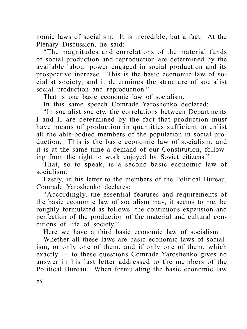nomic laws of socialism. It is incredible, but a fact. At the Plenary Discussion, he said:

"The magnitudes and correlations of the material funds of social production and reproduction are determined by the available labour power engaged in social production and its prospective increase. This is the basic economic law of socialist society, and it determines the structure of socialist social production and reproduction."

That is one basic economic law of socialism.

In this same speech Comrade Yaroshenko declared:

"In socialist society, the correlations between Departments I and II are determined by the fact that production must have means of production in quantities sufficient to enlist all the able-bodied members of the population in social production. This is the basic economic law of socialism, and it is at the same time a demand of our Constitution, following from the right to work enjoyed by Soviet citizens."

That, so to speak, is a second basic economic law of socialism.

Lastly, in his letter to the members of the Political Bureau, Comrade Yaroshenko declares:

"Accordingly, the essential features and requirements of the basic economic law of socialism may, it seems to me, be roughly formulated as follows: the continuous expansion and perfection of the production of the material and cultural conditions of life of society."

Here we have a third basic economic law of socialism.

Whether all these laws are basic economic laws of socialism, or only one of them, and if only one of them, which exactly — to these questions Comrade Yaroshenko gives no answer in his last letter addressed to the members of the Political Bureau. When formulating the basic economic law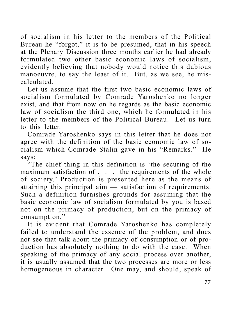of socialism in his letter to the members of the Political Bureau he "forgot," it is to be presumed, that in his speech at the Plenary Discussion three months earlier he had already formulated two other basic economic laws of socialism, evidently believing that nobody would notice this dubious manoeuvre, to say the least of it. But, as we see, he miscalculated.

Let us assume that the first two basic economic laws of socialism formulated by Comrade Yaroshenko no longer exist, and that from now on he regards as the basic economic law of socialism the third one, which he formulated in his letter to the members of the Political Bureau. Let us turn to this letter.

Comrade Yaroshenko says in this letter that he does not agree with the definition of the basic economic law of socialism which Comrade Stalin gave in his "Remarks." He says:

"The chief thing in this definition is 'the securing of the maximum satisfaction of . . . the requirements of the whole of society.' Production is presented here as the means of attaining this principal aim — satisfaction of requirements. Such a definition furnishes grounds for assuming that the basic economic law of socialism formulated by you is based not on the primacy of production, but on the primacy of consumption."

It is evident that Comrade Yaroshenko has completely failed to understand the essence of the problem, and does not see that talk about the primacy of consumption or of production has absolutely nothing to do with the case. When speaking of the primacy of any social process over another, it is usually assumed that the two processes are more or less homogeneous in character. One may, and should, speak of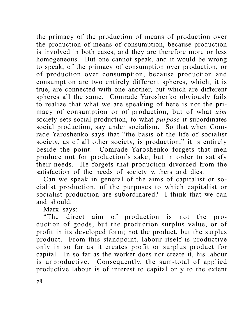the primacy of the production of means of production over the production of means of consumption, because production is involved in both cases, and they are therefore more or less homogeneous. But one cannot speak, and it would be wrong to speak, of the primacy of consumption over production, or of production over consumption, because production and consumption are two entirely different spheres, which, it is true, are connected with one another, but which are different spheres all the same. Comrade Yaroshenko obviously fails to realize that what we are speaking of here is not the primacy of consumption or of production, but of what *aim* society sets social production, to what *purpose* it subordinates social production, say under socialism. So that when Comrade Yaroshenko says that "the basis of the life of socialist society, as of all other society, is production," it is entirely beside the point. Comrade Yaroshenko forgets that men produce not for production's sake, but in order to satisfy their needs. He forgets that production divorced from the satisfaction of the needs of society withers and dies.

Can we speak in general of the aims of capitalist or socialist production, of the purposes to which capitalist or socialist production are subordinated? I think that we can and should.

Marx says:

"The direct aim of production is not the production of goods, but the production surplus value, or of profit in its developed form; not the product, but the surplus product. From this standpoint, labour itself is productive only in so far as it creates profit or surplus product for capital. In so far as the worker does not create it, his labour is unproductive. Consequently, the sum-total of applied productive labour is of interest to capital only to the extent

78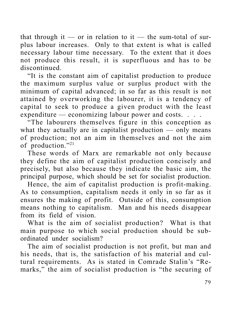that through it — or in relation to it — the sum-total of surplus labour increases. Only to that extent is what is called necessary labour time necessary. To the extent that it does not produce this result, it is superfluous and has to be discontinued.

"It is the constant aim of capitalist production to produce the maximum surplus value or surplus product with the minimum of capital advanced; in so far as this result is not attained by overworking the labourer, it is a tendency of capital to seek to produce a given product with the least expenditure — economizing labour power and costs. . . .

"The labourers themselves figure in this conception as what they actually are in capitalist production  $-$  only means of production; not an aim in themselves and not the aim of production."[21](#page-110-0)

These words of Marx are remarkable not only because they define the aim of capitalist production concisely and precisely, but also because they indicate the basic aim, the principal purpose, which should be set for socialist production.

Hence, the aim of capitalist production is profit-making. As to consumption, capitalism needs it only in so far as it ensures the making of profit. Outside of this, consumption means nothing to capitalism. Man and his needs disappear from its field of vision.

What is the aim of socialist production? What is that main purpose to which social production should be subordinated under socialism?

The aim of socialist production is not profit, but man and his needs, that is, the satisfaction of his material and cultural requirements. As is stated in Comrade Stalin's "Remarks," the aim of socialist production is "the securing of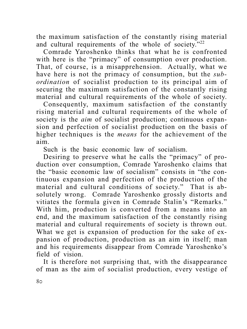the maximum satisfaction of the constantly rising material and cultural requirements of the whole of society. $122$ 

Comrade Yaroshenko thinks that what he is confronted with here is the "primacy" of consumption over production. That, of course, is a misapprehension. Actually, what we have here is not the primacy of consumption, but the *subordination* of socialist production to its principal aim of securing the maximum satisfaction of the constantly rising material and cultural requirements of the whole of society.

Consequently, maximum satisfaction of the constantly rising material and cultural requirements of the whole of society is the *aim* of socialist production; continuous expansion and perfection of socialist production on the basis of higher techniques is the *means* for the achievement of the aim.

Such is the basic economic law of socialism.

Desiring to preserve what he calls the "primacy" of production over consumption, Comrade Yaroshenko claims that the "basic economic law of socialism" consists in "the continuous expansion and perfection of the production of the material and cultural conditions of society." That is absolutely wrong. Comrade Yaroshenko grossly distorts and vitiates the formula given in Comrade Stalin's "Remarks." With him, production is converted from a means into an end, and the maximum satisfaction of the constantly rising material and cultural requirements of society is thrown out. What we get is expansion of production for the sake of expansion of production, production as an aim in itself; man and his requirements disappear from Comrade Yaroshenko's field of vision.

It is therefore not surprising that, with the disappearance of man as the aim of socialist production, every vestige of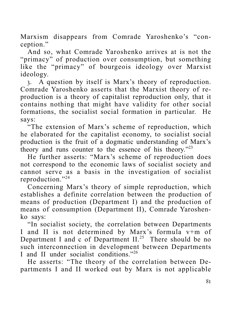Marxism disappears from Comrade Yaroshenko's "conception."

And so, what Comrade Yaroshenko arrives at is not the "primacy" of production over consumption, but something like the "primacy" of bourgeois ideology over Marxist ideology.

3. A question by itself is Marx's theory of reproduction. Comrade Yaroshenko asserts that the Marxist theory of reproduction is a theory of capitalist reproduction only, that it contains nothing that might have validity for other social formations, the socialist social formation in particular. He says:

"The extension of Marx's scheme of reproduction, which he elaborated for the capitalist economy, to socialist social production is the fruit of a dogmatic understanding o[f M](#page-110-0)arx's theory and runs counter to the essence of his theory."<sup>23</sup>

He further asserts: "Marx's scheme of reproduction does not correspond to the economic laws of socialist society and cannot serve as a basis in the investigation of socialist reproduction."[24](#page-110-0)

Concerning Marx's theory of simple reproduction, which establishes a definite correlation between the production of means of production (Department I) and the production of means of consumption (Department II), Comrade Yaroshenko says:

"In socialist society, the correlation between Departments I and II is not determined by Marx's formula v+m of Department I and c of Department  $II^{25}$  There should be no such interconnection in developm[ent](#page-110-0) between Departments I and II under socialist conditions."<sup>26</sup>

He asserts: "The theory of the correlation between Departments I and II worked out by Marx is not applicable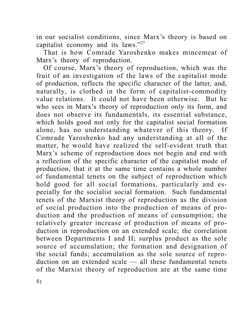in our socialist conditions, since Marx's theory is based on capitalist economy and its law[s."](#page-110-0)<sup>27</sup>

That is how Comrade Yaroshenko makes mincemeat of Marx's theory of reproduction.

Of course, Marx's theory of reproduction, which was the fruit of an investigation of the laws of the capitalist mode of production, reflects the specific character of the latter, and, naturally, is clothed in the form of capitalist-commodity value relations. It could not have been otherwise. But he who sees in Marx's theory of reproduction only its form, and does not observe its fundamentals, its essential substance, which holds good not only for the capitalist social formation alone, has no understanding whatever of this theory. If Comrade Yaroshenko had any understanding at all of the matter, he would have realized the self-evident truth that Marx's scheme of reproduction does not begin and end with a reflection of the specific character of the capitalist mode of production, that it at the same time contains a whole number of fundamental tenets on the subject of reproduction which hold good for all social formations, particularly and especially for the socialist social formation. Such fundamental tenets of the Marxist theory of reproduction as the division of social production into the production of means of production and the production of means of consumption; the relatively greater increase of production of means of production in reproduction on an extended scale; the correlation between Departments I and II; surplus product as the sole source of accumulation; the formation and designation of the social funds; accumulation as the sole source of reproduction on an extended scale  $-$  all these fundamental tenets of the Marxist theory of reproduction are at the same time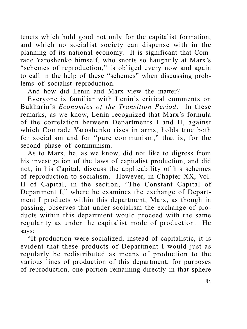tenets which hold good not only for the capitalist formation, and which no socialist society can dispense with in the planning of its national economy. It is significant that Comrade Yaroshenko himself, who snorts so haughtily at Marx's "schemes of reproduction," is obliged every now and again to call in the help of these "schemes" when discussing problems of socialist reproduction.

And how did Lenin and Marx view the matter?

Everyone is familiar with Lenin's critical comments on Bukharin's *Economics of the Transition Period*. In these remarks, as we know, Lenin recognized that Marx's formula of the correlation between Departments I and II, against which Comrade Yaroshenko rises in arms, holds true both for socialism and for "pure communism," that is, for the second phase of communism.

As to Marx, he, as we know, did not like to digress from his investigation of the laws of capitalist production, and did not, in his Capital, discuss the applicability of his schemes of reproduction to socialism. However, in Chapter XX, Vol. II of Capital, in the section, "The Constant Capital of Department I," where he examines the exchange of Department I products within this department, Marx, as though in passing, observes that under socialism the exchange of products within this department would proceed with the same regularity as under the capitalist mode of production. He says:

"If production were socialized, instead of capitalistic, it is evident that these products of Department I would just as regularly be redistributed as means of production to the various lines of production of this department, for purposes of reproduction, one portion remaining directly in that sphere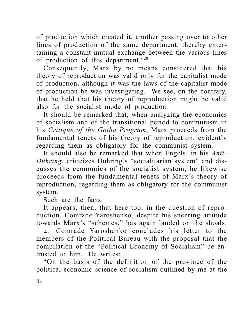of production which created it, another passing over to other lines of production of the same department, thereby entertaining a constant mutual exchan[ge b](#page-110-0)etween the various lines of production of this department."<sup>28</sup>

Consequently, Marx by no means considered that his theory of reproduction was valid only for the capitalist mode of production, although it was the laws of the capitalist mode of production he was investigating. We see, on the contrary, that he held that his theory of reproduction might be valid also for the socialist mode of production.

It should be remarked that, when analyzing the economics of socialism and of the transitional period to communism in his *Critique of the Gotha Program*, Marx proceeds from the fundamental tenets of his theory of reproduction, evidently regarding them as obligatory for the communist system.

It should also be remarked that when Engels, in his *Anti-Dühring*, criticizes Dühring's "socialitarian system" and discusses the economics of the socialist system, he likewise proceeds from the fundamental tenets of Marx's theory of reproduction, regarding them as obligatory for the communist system.

Such are the facts.

It appears, then, that here too, in the question of reproduction, Comrade Yaroshenko, despite his sneering attitude towards Marx's "schemes," has again landed on the shoals.

4. Comrade Yaroshenko concludes his letter to the members of the Political Bureau with the proposal that the compilation of the "Political Economy of Socialism" be entrusted to him. He writes:

"On the basis of the definition of the province of the political-economic science of socialism outlined by me at the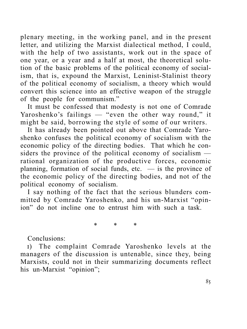plenary meeting, in the working panel, and in the present letter, and utilizing the Marxist dialectical method, I could, with the help of two assistants, work out in the space of one year, or a year and a half at most, the theoretical solution of the basic problems of the political economy of socialism, that is, expound the Marxist, Leninist-Stalinist theory of the political economy of socialism, a theory which would convert this science into an effective weapon of the struggle of the people for communism."

It must be confessed that modesty is not one of Comrade Yaroshenko's failings — "even the other way round," it might be said, borrowing the style of some of our writers.

It has already been pointed out above that Comrade Yaroshenko confuses the political economy of socialism with the economic policy of the directing bodies. That which he considers the province of the political economy of socialism rational organization of the productive forces, economic planning, formation of social funds, etc. — is the province of the economic policy of the directing bodies, and not of the political economy of socialism.

I say nothing of the fact that the serious blunders committed by Comrade Yaroshenko, and his un-Marxist "opinion" do not incline one to entrust him with such a task.

\*\*\*

Conclusions:

1) The complaint Comrade Yaroshenko levels at the managers of the discussion is untenable, since they, being Marxists, could not in their summarizing documents reflect his un-Marxist "opinion";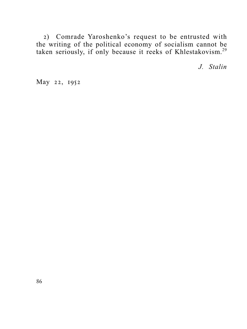2) Comrade Yaroshenko's request to be entrusted with the writing of the political economy of socialism cannot be taken seriously, if only because it reeks of Khlestakovism.<sup>[29](#page-110-0)</sup>

*J. Stalin*

May 22, 1952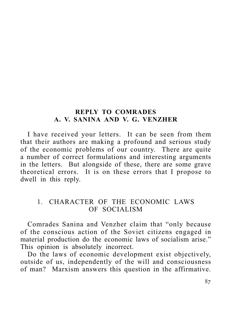## **REPLY TO COMRADES A. V. SANINA AND V. G. VENZHER**

I have received your letters. It can be seen from them that their authors are making a profound and serious study of the economic problems of our country. There are quite a number of correct formulations and interesting arguments in the letters. But alongside of these, there are some grave theoretical errors. It is on these errors that I propose to dwell in this reply.

## 1. CHARACTER OF THE ECONOMIC LAWS OF SOCIALISM

Comrades Sanina and Venzher claim that "only because of the conscious action of the Soviet citizens engaged in material production do the economic laws of socialism arise." This opinion is absolutely incorrect.

Do the laws of economic development exist objectively, outside of us, independently of the will and consciousness of man? Marxism answers this question in the affirmative.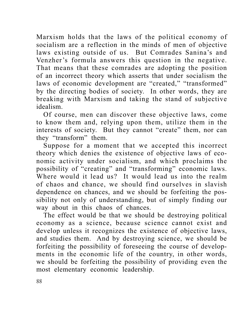Marxism holds that the laws of the political economy of socialism are a reflection in the minds of men of objective laws existing outside of us. But Comrades Sanina's and Venzher's formula answers this question in the negative. That means that these comrades are adopting the position of an incorrect theory which asserts that under socialism the laws of economic development are "created," "transformed" by the directing bodies of society. In other words, they are breaking with Marxism and taking the stand of subjective idealism.

Of course, men can discover these objective laws, come to know them and, relying upon them, utilize them in the interests of society. But they cannot "create" them, nor can they "transform" them.

Suppose for a moment that we accepted this incorrect theory which denies the existence of objective laws of economic activity under socialism, and which proclaims the possibility of "creating" and "transforming" economic laws. Where would it lead us? It would lead us into the realm of chaos and chance, we should find ourselves in slavish dependence on chances, and we should be forfeiting the possibility not only of understanding, but of simply finding our way about in this chaos of chances.

The effect would be that we should be destroying political economy as a science, because science cannot exist and develop unless it recognizes the existence of objective laws, and studies them. And by destroying science, we should be forfeiting the possibility of foreseeing the course of developments in the economic life of the country, in other words, we should be forfeiting the possibility of providing even the most elementary economic leadership.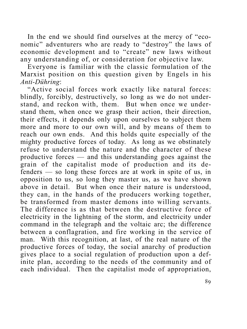In the end we should find ourselves at the mercy of "economic" adventurers who are ready to "destroy" the laws of economic development and to "create" new laws without any understanding of, or consideration for objective law.

Everyone is familiar with the classic formulation of the Marxist position on this question given by Engels in his *Anti-Dühring*:

"Active social forces work exactly like natural forces: blindly, forcibly, destructively, so long as we do not understand, and reckon with, them. But when once we understand them, when once we grasp their action, their direction, their effects, it depends only upon ourselves to subject them more and more to our own will, and by means of them to reach our own ends. And this holds quite especially of the mighty productive forces of today. As long as we obstinately refuse to understand the nature and the character of these productive forces — and this understanding goes against the grain of the capitalist mode of production and its defenders — so long these forces are at work in spite of us, in opposition to us, so long they master us, as we have shown above in detail. But when once their nature is understood, they can, in the hands of the producers working together, be transformed from master demons into willing servants. The difference is as that between the destructive force of electricity in the lightning of the storm, and electricity under command in the telegraph and the voltaic arc; the difference between a conflagration, and fire working in the service of man. With this recognition, at last, of the real nature of the productive forces of today, the social anarchy of production gives place to a social regulation of production upon a definite plan, according to the needs of the community and of each individual. Then the capitalist mode of appropriation,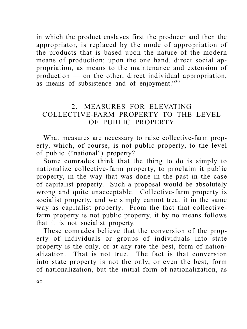in which the product enslaves first the producer and then the appropriator, is replaced by the mode of appropriation of the products that is based upon the nature of the modern means of production; upon the one hand, direct social appropriation, as means to the maintenance and extension of production — on the other, direct individ[ual](#page-110-0) appropriation, as means of subsistence and of enjoyment."30

## 2. MEASURES FOR ELEVATING COLLECTIVE-FARM PROPERTY TO THE LEVEL OF PUBLIC PROPERTY

What measures are necessary to raise collective-farm property, which, of course, is not public property, to the level of public ("national") property?

Some comrades think that the thing to do is simply to nationalize collective-farm property, to proclaim it public property, in the way that was done in the past in the case of capitalist property. Such a proposal would be absolutely wrong and quite unacceptable. Collective-farm property is socialist property, and we simply cannot treat it in the same way as capitalist property. From the fact that collectivefarm property is not public property, it by no means follows that it is not socialist property.

These comrades believe that the conversion of the property of individuals or groups of individuals into state property is the only, or at any rate the best, form of nationalization. That is not true. The fact is that conversion into state property is not the only, or even the best, form of nationalization, but the initial form of nationalization, as

90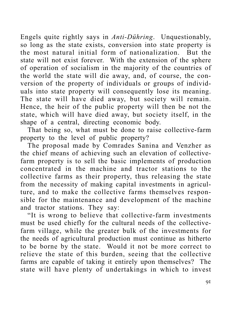Engels quite rightly says in *Anti-Dühring*. Unquestionably, so long as the state exists, conversion into state property is the most natural initial form of nationalization. But the state will not exist forever. With the extension of the sphere of operation of socialism in the majority of the countries of the world the state will die away, and, of course, the conversion of the property of individuals or groups of individuals into state property will consequently lose its meaning. The state will have died away, but society will remain. Hence, the heir of the public property will then be not the state, which will have died away, but society itself, in the shape of a central, directing economic body.

That being so, what must be done to raise collective-farm property to the level of public property?

The proposal made by Comrades Sanina and Venzher as the chief means of achieving such an elevation of collectivefarm property is to sell the basic implements of production concentrated in the machine and tractor stations to the collective farms as their property, thus releasing the state from the necessity of making capital investments in agriculture, and to make the collective farms themselves responsible for the maintenance and development of the machine and tractor stations. They say:

"It is wrong to believe that collective-farm investments must be used chiefly for the cultural needs of the collectivefarm village, while the greater bulk of the investments for the needs of agricultural production must continue as hitherto to be borne by the state. Would it not be more correct to relieve the state of this burden, seeing that the collective farms are capable of taking it entirely upon themselves? The state will have plenty of undertakings in which to invest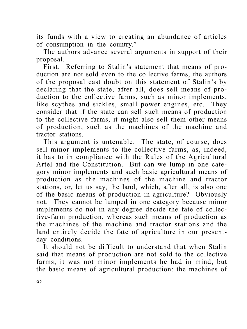its funds with a view to creating an abundance of articles of consumption in the country."

The authors advance several arguments in support of their proposal.

First. Referring to Stalin's statement that means of production are not sold even to the collective farms, the authors of the proposal cast doubt on this statement of Stalin's by declaring that the state, after all, does sell means of production to the collective farms, such as minor implements, like scythes and sickles, small power engines, etc. They consider that if the state can sell such means of production to the collective farms, it might also sell them other means of production, such as the machines of the machine and tractor stations.

This argument is untenable. The state, of course, does sell minor implements to the collective farms, as, indeed, it has to in compliance with the Rules of the Agricultural Artel and the Constitution. But can we lump in one category minor implements and such basic agricultural means of production as the machines of the machine and tractor stations, or, let us say, the land, which, after all, is also one of the basic means of production in agriculture? Obviously not. They cannot be lumped in one category because minor implements do not in any degree decide the fate of collective-farm production, whereas such means of production as the machines of the machine and tractor stations and the land entirely decide the fate of agriculture in our presentday conditions.

It should not be difficult to understand that when Stalin said that means of production are not sold to the collective farms, it was not minor implements he had in mind, but the basic means of agricultural production: the machines of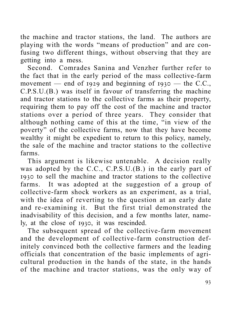the machine and tractor stations, the land. The authors are playing with the words "means of production" and are confusing two different things, without observing that they are getting into a mess.

Second. Comrades Sanina and Venzher further refer to the fact that in the early period of the mass collective-farm movement — end of 1929 and beginning of 1930 — the C.C., C.P.S.U.(B.) was itself in favour of transferring the machine and tractor stations to the collective farms as their property, requiring them to pay off the cost of the machine and tractor stations over a period of three years. They consider that although nothing came of this at the time, "in view of the poverty" of the collective farms, now that they have become wealthy it might be expedient to return to this policy, namely, the sale of the machine and tractor stations to the collective farms.

This argument is likewise untenable. A decision really was adopted by the C.C., C.P.S.U.(B.) in the early part of 1930 to sell the machine and tractor stations to the collective farms. It was adopted at the suggestion of a group of collective-farm shock workers as an experiment, as a trial, with the idea of reverting to the question at an early date and re-examining it. But the first trial demonstrated the inadvisability of this decision, and a few months later, namely, at the close of 1930, it was rescinded.

The subsequent spread of the collective-farm movement and the development of collective-farm construction definitely convinced both the collective farmers and the leading officials that concentration of the basic implements of agricultural production in the hands of the state, in the hands of the machine and tractor stations, was the only way of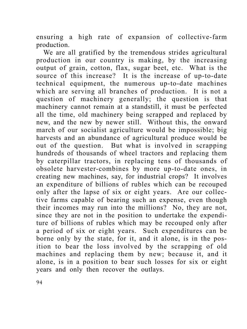ensuring a high rate of expansion of collective-farm production.

We are all gratified by the tremendous strides agricultural production in our country is making, by the increasing output of grain, cotton, flax, sugar beet, etc. What is the source of this increase? It is the increase of up-to-date technical equipment, the numerous up-to-date machines which are serving all branches of production. It is not a question of machinery generally; the question is that machinery cannot remain at a standstill, it must be perfected all the time, old machinery being scrapped and replaced by new, and the new by newer still. Without this, the onward march of our socialist agriculture would be impossible; big harvests and an abundance of agricultural produce would be out of the question. But what is involved in scrapping hundreds of thousands of wheel tractors and replacing them by caterpillar tractors, in replacing tens of thousands of obsolete harvester-combines by more up-to-date ones, in creating new machines, say, for industrial crops? It involves an expenditure of billions of rubles which can be recouped only after the lapse of six or eight years. Are our collective farms capable of bearing such an expense, even though their incomes may run into the millions? No, they are not, since they are not in the position to undertake the expenditure of billions of rubles which may be recouped only after a period of six or eight years. Such expenditures can be borne only by the state, for it, and it alone, is in the position to bear the loss involved by the scrapping of old machines and replacing them by new; because it, and it alone, is in a position to bear such losses for six or eight years and only then recover the outlays.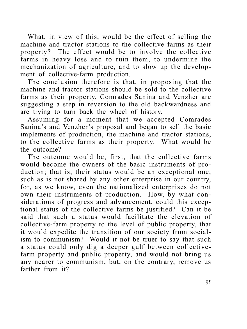What, in view of this, would be the effect of selling the machine and tractor stations to the collective farms as their property? The effect would be to involve the collective farms in heavy loss and to ruin them, to undermine the mechanization of agriculture, and to slow up the development of collective-farm production.

The conclusion therefore is that, in proposing that the machine and tractor stations should be sold to the collective farms as their property, Comrades Sanina and Venzher are suggesting a step in reversion to the old backwardness and are trying to turn back the wheel of history.

Assuming for a moment that we accepted Comrades Sanina's and Venzher's proposal and began to sell the basic implements of production, the machine and tractor stations, to the collective farms as their property. What would be the outcome?

The outcome would be, first, that the collective farms would become the owners of the basic instruments of production; that is, their status would be an exceptional one, such as is not shared by any other enterprise in our country, for, as we know, even the nationalized enterprises do not own their instruments of production. How, by what considerations of progress and advancement, could this exceptional status of the collective farms be justified? Can it be said that such a status would facilitate the elevation of collective-farm property to the level of public property, that it would expedite the transition of our society from socialism to communism? Would it not be truer to say that such a status could only dig a deeper gulf between collectivefarm property and public property, and would not bring us any nearer to communism, but, on the contrary, remove us farther from it?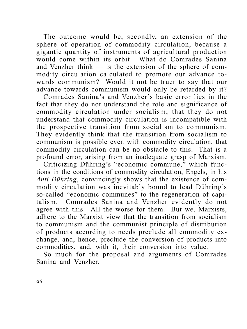The outcome would be, secondly, an extension of the sphere of operation of commodity circulation, because a gigantic quantity of instruments of agricultural production would come within its orbit. What do Comrades Sanina and Venzher think — is the extension of the sphere of commodity circulation calculated to promote our advance towards communism? Would it not be truer to say that our advance towards communism would only be retarded by it?

Comrades Sanina's and Venzher's basic error lies in the fact that they do not understand the role and significance of commodity circulation under socialism; that they do not understand that commodity circulation is incompatible with the prospective transition from socialism to communism. They evidently think that the transition from socialism to communism is possible even with commodity circulation, that commodity circulation can be no obstacle to this. That is a profound error, arising from an inadequate grasp of Marxism.

Criticizing Dühring's "economic commune," which functions in the conditions of commodity circulation, Engels, in his *Anti-Dühring*, convincingly shows that the existence of commodity circulation was inevitably bound to lead Dühring's so-called "economic communes" to the regeneration of capitalism. Comrades Sanina and Venzher evidently do not agree with this. All the worse for them. But we, Marxists, adhere to the Marxist view that the transition from socialism to communism and the communist principle of distribution of products according to needs preclude all commodity exchange, and, hence, preclude the conversion of products into commodities, and, with it, their conversion into value.

So much for the proposal and arguments of Comrades Sanina and Venzher.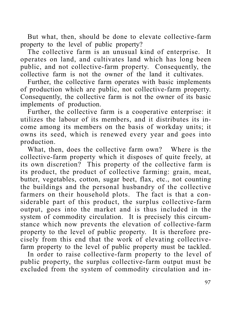But what, then, should be done to elevate collective-farm property to the level of public property?

The collective farm is an unusual kind of enterprise. It operates on land, and cultivates land which has long been public, and not collective-farm property. Consequently, the collective farm is not the owner of the land it cultivates.

Further, the collective farm operates with basic implements of production which are public, not collective-farm property. Consequently, the collective farm is not the owner of its basic implements of production.

Further, the collective farm is a cooperative enterprise: it utilizes the labour of its members, and it distributes its income among its members on the basis of workday units; it owns its seed, which is renewed every year and goes into production.

What, then, does the collective farm own? Where is the collective-farm property which it disposes of quite freely, at its own discretion? This property of the collective farm is its product, the product of collective farming: grain, meat, butter, vegetables, cotton, sugar beet, flax, etc., not counting the buildings and the personal husbandry of the collective farmers on their household plots. The fact is that a considerable part of this product, the surplus collective-farm output, goes into the market and is thus included in the system of commodity circulation. It is precisely this circumstance which now prevents the elevation of collective-farm property to the level of public property. It is therefore precisely from this end that the work of elevating collectivefarm property to the level of public property must be tackled.

In order to raise collective-farm property to the level of public property, the surplus collective-farm output must be excluded from the system of commodity circulation and in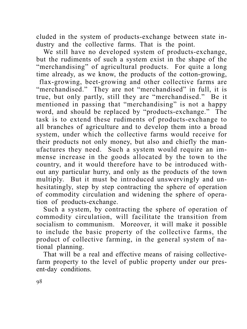cluded in the system of products-exchange between state industry and the collective farms. That is the point.

We still have no developed system of products-exchange, but the rudiments of such a system exist in the shape of the "merchandising" of agricultural products. For quite a long time already, as we know, the products of the cotton-growing, flax-growing, beet-growing and other collective farms are "merchandised." They are not "merchandised" in full, it is true, but only partly, still they are "merchandised." Be it mentioned in passing that "merchandising" is not a happy word, and should be replaced by "products-exchange." The task is to extend these rudiments of products-exchange to all branches of agriculture and to develop them into a broad system, under which the collective farms would receive for their products not only money, but also and chiefly the manufactures they need. Such a system would require an immense increase in the goods allocated by the town to the country, and it would therefore have to be introduced without any particular hurry, and only as the products of the town multiply. But it must be introduced unswervingly and unhesitatingly, step by step contracting the sphere of operation of commodity circulation and widening the sphere of operation of products-exchange.

Such a system, by contracting the sphere of operation of commodity circulation, will facilitate the transition from socialism to communism. Moreover, it will make it possible to include the basic property of the collective farms, the product of collective farming, in the general system of national planning.

That will be a real and effective means of raising collectivefarm property to the level of public property under our present-day conditions.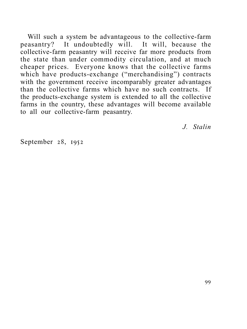Will such a system be advantageous to the collective-farm peasantry? It undoubtedly will. It will, because the collective-farm peasantry will receive far more products from the state than under commodity circulation, and at much cheaper prices. Everyone knows that the collective farms which have products-exchange ("merchandising") contracts with the government receive incomparably greater advantages than the collective farms which have no such contracts. If the products-exchange system is extended to all the collective farms in the country, these advantages will become available to all our collective-farm peasantry.

*J. Stalin*

September 28, 1952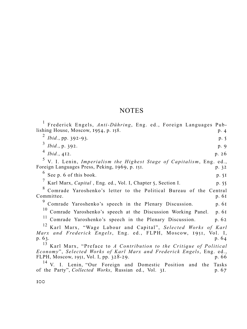## NOTES

<sup>1</sup> Frederick Engels, *Anti-Dühring*, Eng. ed., Foreign Languages Publishing House, Moscow, 1954, p. 158. p. 4

 $2 \text{ Ibid., pp. } 392 - 93.$  p. 5  $3 \text{ Ibid., p. } 392.$ 

*Ibid.*, 412. p. 26

<sup>5</sup> V. I. Lenin, *Imperialism the Highest Stage of Capitalism*, Eng. ed., Foreign Languages Press, Peking, 1969, p. 151. p. 32

 $6$  See p. 6 [of t](#page-15-0)his book. p. 51

<sup>7</sup> Karl Marx, *Capital* , Eng. ed., Vol. I, Chapter 5, Section I. p. 55

Comrade Yaroshenko's letter to the Political Bureau of the Central<br>mittee. Committee.

Comrade Yaroshenko's speech in the Plenary Discussion. p. 61

 $10$  Comrade Yaroshenko's speech at the Discussion Working Panel. p. 61

<sup>11</sup> Comrade Yaroshenko's speech in the Plenary Discussion.  $p. 62$ 

<sup>12</sup> Karl Marx, "Wage Labour and Capital", *Selected Works of Karl Marx and Frederick Engels*, Eng. ed., FLPH, Moscow, 1951, Vol. I, p. 63. p. 63. p. 64

<sup>13</sup> Karl Marx, "Preface to *A Contribution to the Critique of Political Economy* ", *Selected Works of Karl Marx and Frederick Engels*, Eng. ed., FLPH, Moscow, 1951, Vol. I, pp.  $328-29$ .

<sup>14</sup> V. I. Lenin, "Our Foreign and Domestic Position and the Tasks of the Party", *Collected Works*, Russian ed., Vol. 31.

100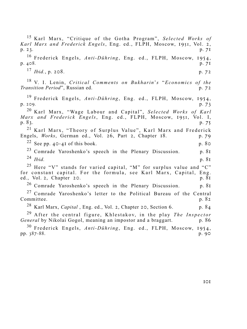<sup>15</sup> Karl Marx, "Critique of the Gotha Program", *Selected Works of Karl Marx and Frederick Engels*, Eng. ed., FLPH, Moscow, 1951, Vol. 2, p. 23. p. 71 <sup>16</sup> Frederick Engels, *Anti-Dühring*, Eng. ed., FLPH, Moscow, 1954, p. 408. p. 408*.* p. 71  $17$  *Ibid.*, p. 208. p. 72 <sup>18</sup> V. I. Lenin, *Critical Comments on Bukharin*'*s* "*Economics of the Transition Period*", Russian ed. p. 72 <sup>19</sup> Frederick Engels, *Anti-Dühring*, Eng. ed., FLPH, Moscow, 1954, p. 209. p. 209*.* p. 73 <sup>20</sup> Karl Marx, "Wage Labour and Capital", *Selected Works of Karl Marx and Frederick Engels*, Eng. ed., FLPH, Moscow, 1951, Vol. I, p. 83. p. 75 <sup>21</sup> Karl Marx, "Theory of Surplus Value", Karl Marx and Frederick Engels, *Works*, German ed., Vol. 26, Part 2, Chapter 18. p. 79 <sup>22</sup> See pp.  $40-41$  of this book. p. 80 <sup>23</sup> Comrade Yaroshenko's speech in the Plenary Discussion. p. 81<br><sup>24</sup> *Ibid* p. 81 <sup>24</sup> *Ibid.* p. 81 <sup>25</sup> Here "V" stands for varied capital, "M" for surplus value and "C" for constant capital. For the formula, see Karl Marx, Capital, Eng.<br>ed., Vol. 2, Chapter 20. ed., Vol. 2, Chapter 20. <sup>26</sup> Comrade Yaroshenko's speech in the Plenary Discussion. p. 81  $27$  Comrade Yaroshenko's letter to the Political Bureau of the Central Committee. p. 82 <sup>28</sup> Karl Marx, *Capital*, Eng. ed., Vol. 2, Chapter 20, Section 6. p. 84 <sup>29</sup> After the central figure, Khlestakov, in the play *The Inspector General* by Nikolai Gogol, meaning an impostor and a braggart. **p. 86** <sup>30</sup> Frederick Engels, *Anti-Dühring*, Eng. ed., FLPH, Moscow, 1954, 387-88. pp. 387-88.

101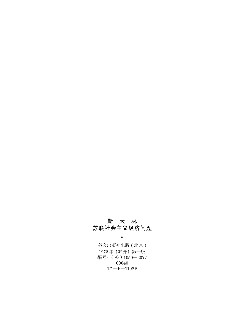## 斯 大 林<br>苏联社会主义经济问题

 $\ast$ 

外文出版社出版(北京) 1972年 (32开) 第一版 編号: (英) 1050-2077 00040  $1/1 - E - 1192P$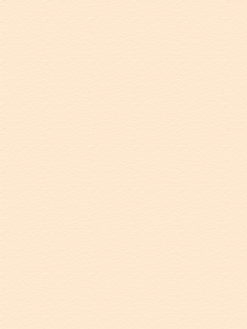